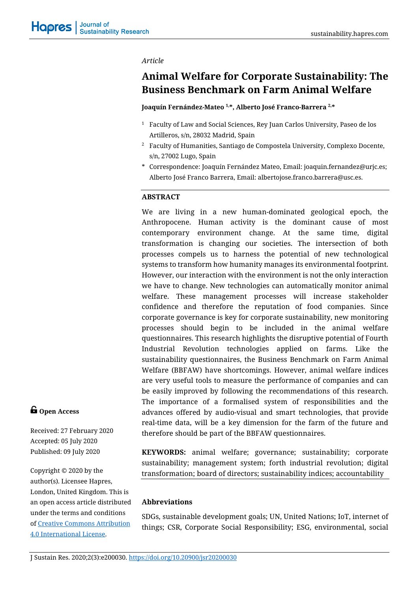*Article*

# **Animal Welfare for Corporate Sustainability: The Business Benchmark on Farm Animal Welfare**

## **Joaquín Fernández-Mateo 1,\*, Alberto José Franco-Barrera 2,\***

- <sup>1</sup> Faculty of Law and Social Sciences, Rey Juan Carlos University, Paseo de los Artilleros, s/n, 28032 Madrid, Spain
- <sup>2</sup> Faculty of Humanities, Santiago de Compostela University, Complexo Docente, s/n, 27002 Lugo, Spain
- \* Correspondence: Joaquín Fernández Mateo, Email: joaquin.fernandez@urjc.es; Alberto José Franco Barrera, Email: albertojose.franco.barrera@usc.es.

# **ABSTRACT**

We are living in a new human-dominated geological epoch, the Anthropocene. Human activity is the dominant cause of most contemporary environment change. At the same time, digital transformation is changing our societies. The intersection of both processes compels us to harness the potential of new technological systems to transform how humanity manages its environmental footprint. However, our interaction with the environment is not the only interaction we have to change. New technologies can automatically monitor animal welfare. These management processes will increase stakeholder confidence and therefore the reputation of food companies. Since corporate governance is key for corporate sustainability, new monitoring processes should begin to be included in the animal welfare questionnaires. This research highlights the disruptive potential of Fourth Industrial Revolution technologies applied on farms. Like the sustainability questionnaires, the Business Benchmark on Farm Animal Welfare (BBFAW) have shortcomings. However, animal welfare indices are very useful tools to measure the performance of companies and can be easily improved by following the recommendations of this research. The importance of a formalised system of responsibilities and the advances offered by audio-visual and smart technologies, that provide real-time data, will be a key dimension for the farm of the future and therefore should be part of the BBFAW questionnaires.

**G** Open Access

Received: 27 February 2020 Accepted: 05 July 2020 Published: 09 July 2020

Copyright © 2020 by the author(s). Licensee Hapres, London, United Kingdom. This is an open access article distributed under the terms and conditions of [Creative Commons Attribution](https://creativecommons.org/licenses/by/4.0/)  [4.0 International License.](https://creativecommons.org/licenses/by/4.0/)

**KEYWORDS:** animal welfare; governance; sustainability; corporate sustainability; management system; forth industrial revolution; digital transformation; board of directors; sustainability indices; accountability

# **Abbreviations**

SDGs, sustainable development goals; UN, United Nations; IoT, internet of things; CSR, Corporate Social Responsibility; ESG, environmental, social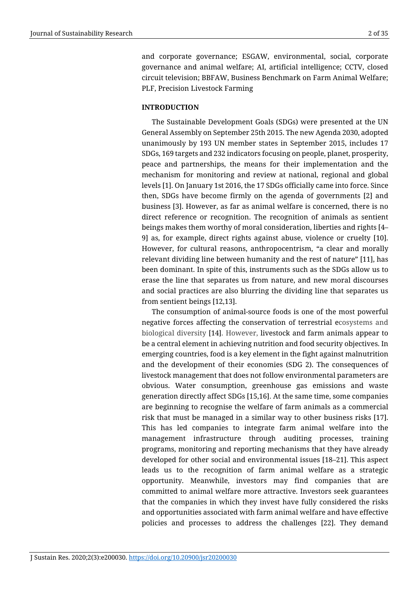and corporate governance; ESGAW, environmental, social, corporate governance and animal welfare; AI, artificial intelligence; CCTV, closed circuit television; BBFAW, Business Benchmark on Farm Animal Welfare; PLF, Precision Livestock Farming

# **INTRODUCTION**

The Sustainable Development Goals (SDGs) were presented at the UN General Assembly on September 25th 2015. The new Agenda 2030, adopted unanimously by 193 UN member states in September 2015, includes 17 SDGs, 169 targets and 232 indicators focusing on people, planet, prosperity, peace and partnerships, the means for their implementation and the mechanism for monitoring and review at national, regional and global levels [1]. On January 1st 2016, the 17 SDGs officially came into force. Since then, SDGs have become firmly on the agenda of governments [2] and business [3]. However, as far as animal welfare is concerned, there is no direct reference or recognition. The recognition of animals as sentient beings makes them worthy of moral consideration, liberties and rights [4– 9] as, for example, direct rights against abuse, violence or cruelty [10]. However, for cultural reasons, anthropocentrism, "a clear and morally relevant dividing line between humanity and the rest of nature" [11], has been dominant. In spite of this, instruments such as the SDGs allow us to erase the line that separates us from nature, and new moral discourses and social practices are also blurring the dividing line that separates us from sentient beings [12,13].

The consumption of animal-source foods is one of the most powerful negative forces affecting the conservation of terrestrial ecosystems and biological diversity [14]. However, livestock and farm animals appear to be a central element in achieving nutrition and food security objectives. In emerging countries, food is a key element in the fight against malnutrition and the development of their economies (SDG 2). The consequences of livestock management that does not follow environmental parameters are obvious. Water consumption, greenhouse gas emissions and waste generation directly affect SDGs [15,16]. At the same time, some companies are beginning to recognise the welfare of farm animals as a commercial risk that must be managed in a similar way to other business risks [17]. This has led companies to integrate farm animal welfare into the management infrastructure through auditing processes, training programs, monitoring and reporting mechanisms that they have already developed for other social and environmental issues [18–21]. This aspect leads us to the recognition of farm animal welfare as a strategic opportunity. Meanwhile, investors may find companies that are committed to animal welfare more attractive. Investors seek guarantees that the companies in which they invest have fully considered the risks and opportunities associated with farm animal welfare and have effective policies and processes to address the challenges [22]. They demand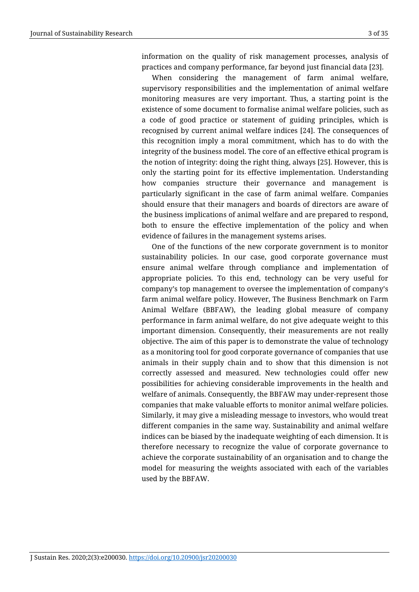information on the quality of risk management processes, analysis of practices and company performance, far beyond just financial data [23].

When considering the management of farm animal welfare, supervisory responsibilities and the implementation of animal welfare monitoring measures are very important. Thus, a starting point is the existence of some document to formalise animal welfare policies, such as a code of good practice or statement of guiding principles, which is recognised by current animal welfare indices [24]. The consequences of this recognition imply a moral commitment, which has to do with the integrity of the business model. The core of an effective ethical program is the notion of integrity: doing the right thing, always [25]. However, this is only the starting point for its effective implementation. Understanding how companies structure their governance and management is particularly significant in the case of farm animal welfare. Companies should ensure that their managers and boards of directors are aware of the business implications of animal welfare and are prepared to respond, both to ensure the effective implementation of the policy and when evidence of failures in the management systems arises.

One of the functions of the new corporate government is to monitor sustainability policies. In our case, good corporate governance must ensure animal welfare through compliance and implementation of appropriate policies. To this end, technology can be very useful for company's top management to oversee the implementation of company's farm animal welfare policy. However, The Business Benchmark on Farm Animal Welfare (BBFAW), the leading global measure of company performance in farm animal welfare, do not give adequate weight to this important dimension. Consequently, their measurements are not really objective. The aim of this paper is to demonstrate the value of technology as a monitoring tool for good corporate governance of companies that use animals in their supply chain and to show that this dimension is not correctly assessed and measured. New technologies could offer new possibilities for achieving considerable improvements in the health and welfare of animals. Consequently, the BBFAW may under-represent those companies that make valuable efforts to monitor animal welfare policies. Similarly, it may give a misleading message to investors, who would treat different companies in the same way. Sustainability and animal welfare indices can be biased by the inadequate weighting of each dimension. It is therefore necessary to recognize the value of corporate governance to achieve the corporate sustainability of an organisation and to change the model for measuring the weights associated with each of the variables used by the BBFAW.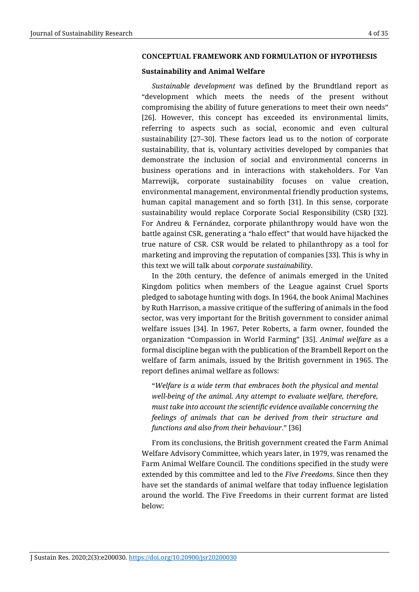#### **CONCEPTUAL FRAMEWORK AND FORMULATION OF HYPOTHESIS**

#### **Sustainability and Animal Welfare**

*Sustainable development* was defined by the Brundtland report as "development which meets the needs of the present without compromising the ability of future generations to meet their own needs" [26]. However, this concept has exceeded its environmental limits, referring to aspects such as social, economic and even cultural sustainability [27–30]. These factors lead us to the notion of corporate sustainability, that is, voluntary activities developed by companies that demonstrate the inclusion of social and environmental concerns in business operations and in interactions with stakeholders. For Van Marrewijk, corporate sustainability focuses on value creation, environmental management, environmental friendly production systems, human capital management and so forth [31]. In this sense, corporate sustainability would replace Corporate Social Responsibility (CSR) [32]. For Andreu & Fernández, corporate philanthropy would have won the battle against CSR, generating a "halo effect" that would have hijacked the true nature of CSR. CSR would be related to philanthropy as a tool for marketing and improving the reputation of companies [33]. This is why in this text we will talk about *corporate sustainability*.

In the 20th century, the defence of animals emerged in the United Kingdom politics when members of the League against Cruel Sports pledged to sabotage hunting with dogs. In 1964, the book Animal Machines by Ruth Harrison, a massive critique of the suffering of animals in the food sector, was very important for the British government to consider animal welfare issues [34]. In 1967, Peter Roberts, a farm owner, founded the organization "Compassion in World Farming" [35]. *Animal welfare* as a formal discipline began with the publication of the Brambell Report on the welfare of farm animals, issued by the British government in 1965. The report defines animal welfare as follows:

"*Welfare is a wide term that embraces both the physical and mental well-being of the animal. Any attempt to evaluate welfare, therefore, must take into account the scientific evidence available concerning the feelings of animals that can be derived from their structure and functions and also from their behaviour*." [36]

From its conclusions, the British government created the Farm Animal Welfare Advisory Committee, which years later, in 1979, was renamed the Farm Animal Welfare Council. The conditions specified in the study were extended by this committee and led to the *Five Freedoms*. Since then they have set the standards of animal welfare that today influence legislation around the world. The Five Freedoms in their current format are listed below: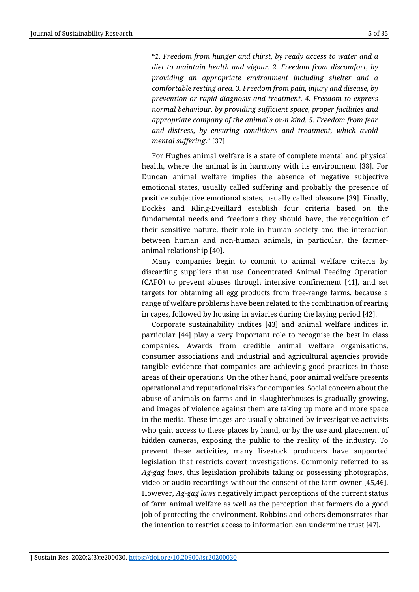"*1. Freedom from hunger and thirst, by ready access to water and a diet to maintain health and vigour. 2. Freedom from discomfort, by providing an appropriate environment including shelter and a comfortable resting area. 3. Freedom from pain, injury and disease, by prevention or rapid diagnosis and treatment. 4. Freedom to express normal behaviour, by providing sufficient space, proper facilities and appropriate company of the animal's own kind. 5. Freedom from fear and distress, by ensuring conditions and treatment, which avoid mental suffering*." [37]

For Hughes animal welfare is a state of complete mental and physical health, where the animal is in harmony with its environment [38]. For Duncan animal welfare implies the absence of negative subjective emotional states, usually called suffering and probably the presence of positive subjective emotional states, usually called pleasure [39]. Finally, Dockès and Kling-Eveillard establish four criteria based on the fundamental needs and freedoms they should have, the recognition of their sensitive nature, their role in human society and the interaction between human and non-human animals, in particular, the farmeranimal relationship [40].

Many companies begin to commit to animal welfare criteria by discarding suppliers that use Concentrated Animal Feeding Operation (CAFO) to prevent abuses through intensive confinement [41], and set targets for obtaining all egg products from free-range farms, because a range of welfare problems have been related to the combination of rearing in cages, followed by housing in aviaries during the laying period [42].

Corporate sustainability indices [43] and animal welfare indices in particular [44] play a very important role to recognise the best in class companies. Awards from credible animal welfare organisations, consumer associations and industrial and agricultural agencies provide tangible evidence that companies are achieving good practices in those areas of their operations. On the other hand, poor animal welfare presents operational and reputational risks for companies. Social concern about the abuse of animals on farms and in slaughterhouses is gradually growing, and images of violence against them are taking up more and more space in the media. These images are usually obtained by investigative activists who gain access to these places by hand, or by the use and placement of hidden cameras, exposing the public to the reality of the industry. To prevent these activities, many livestock producers have supported legislation that restricts covert investigations. Commonly referred to as *Ag-gag laws*, this legislation prohibits taking or possessing photographs, video or audio recordings without the consent of the farm owner [45,46]. However, *Ag-gag laws* negatively impact perceptions of the current status of farm animal welfare as well as the perception that farmers do a good job of protecting the environment. Robbins and others demonstrates that the intention to restrict access to information can undermine trust [47].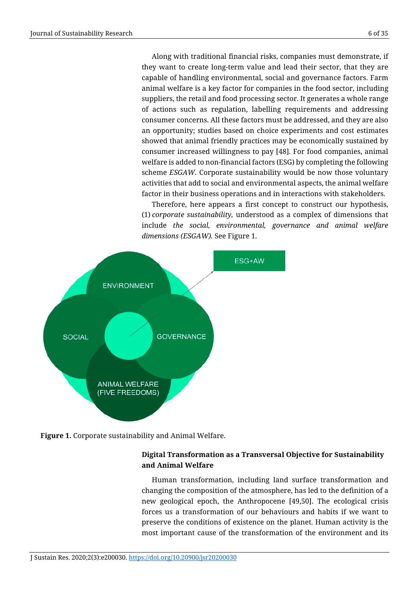Along with traditional financial risks, companies must demonstrate, if they want to create long-term value and lead their sector, that they are capable of handling environmental, social and governance factors. Farm animal welfare is a key factor for companies in the food sector, including suppliers, the retail and food processing sector. It generates a whole range of actions such as regulation, labelling requirements and addressing consumer concerns. All these factors must be addressed, and they are also an opportunity; studies based on choice experiments and cost estimates showed that animal friendly practices may be economically sustained by consumer increased willingness to pay [48]. For food companies, animal welfare is added to non-financial factors (ESG) by completing the following scheme *ESGAW*. Corporate sustainability would be now those voluntary activities that add to social and environmental aspects, the animal welfare factor in their business operations and in interactions with stakeholders.

Therefore, here appears a first concept to construct our hypothesis, (1) *corporate sustainability,* understood as a complex of dimensions that include *the social, environmental, governance and animal welfare dimensions (ESGAW).* See Figure 1.





# **Digital Transformation as a Transversal Objective for Sustainability and Animal Welfare**

Human transformation, including land surface transformation and changing the composition of the atmosphere, has led to the definition of a new geological epoch, the Anthropocene [49,50]. The ecological crisis forces us a transformation of our behaviours and habits if we want to preserve the conditions of existence on the planet. Human activity is the most important cause of the transformation of the environment and its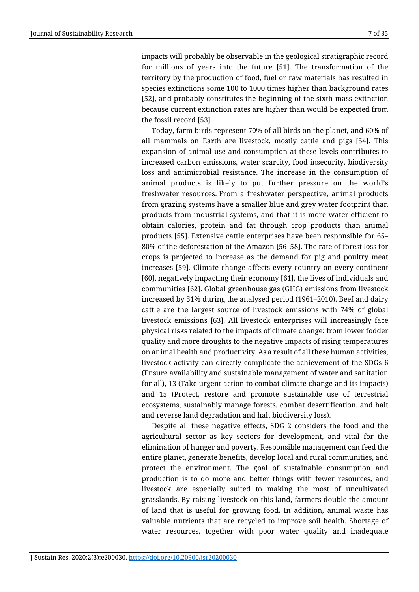impacts will probably be observable in the geological stratigraphic record for millions of years into the future [51]. The transformation of the territory by the production of food, fuel or raw materials has resulted in species extinctions some 100 to 1000 times higher than background rates [52], and probably constitutes the beginning of the sixth mass extinction because current extinction rates are higher than would be expected from the fossil record [53].

Today, farm birds represent 70% of all birds on the planet, and 60% of all mammals on Earth are livestock, mostly cattle and pigs [54]. This expansion of animal use and consumption at these levels contributes to increased carbon emissions, water scarcity, food insecurity, biodiversity loss and antimicrobial resistance. The increase in the consumption of animal products is likely to put further pressure on the world's freshwater resources. From a freshwater perspective, animal products from grazing systems have a smaller blue and grey water footprint than products from industrial systems, and that it is more water-efficient to obtain calories, protein and fat through crop products than animal products [55]. Extensive cattle enterprises have been responsible for 65– 80% of the deforestation of the Amazon [56–58]. The rate of forest loss for crops is projected to increase as the demand for pig and poultry meat increases [59]. Climate change affects every country on every continent [60], negatively impacting their economy [61], the lives of individuals and communities [62]. Global greenhouse gas (GHG) emissions from livestock increased by 51% during the analysed period (1961–2010). Beef and dairy cattle are the largest source of livestock emissions with 74% of global livestock emissions [63]. All livestock enterprises will increasingly face physical risks related to the impacts of climate change: from lower fodder quality and more droughts to the negative impacts of rising temperatures on animal health and productivity. As a result of all these human activities, livestock activity can directly complicate the achievement of the SDGs 6 (Ensure availability and sustainable management of water and sanitation for all), 13 (Take urgent action to combat climate change and its impacts) and 15 (Protect, restore and promote sustainable use of terrestrial ecosystems, sustainably manage forests, combat desertification, and halt and reverse land degradation and halt biodiversity loss).

Despite all these negative effects, SDG 2 considers the food and the agricultural sector as key sectors for development, and vital for the elimination of hunger and poverty. Responsible management can feed the entire planet, generate benefits, develop local and rural communities, and protect the environment. The goal of sustainable consumption and production is to do more and better things with fewer resources, and livestock are especially suited to making the most of uncultivated grasslands. By raising livestock on this land, farmers double the amount of land that is useful for growing food. In addition, animal waste has valuable nutrients that are recycled to improve soil health. Shortage of water resources, together with poor water quality and inadequate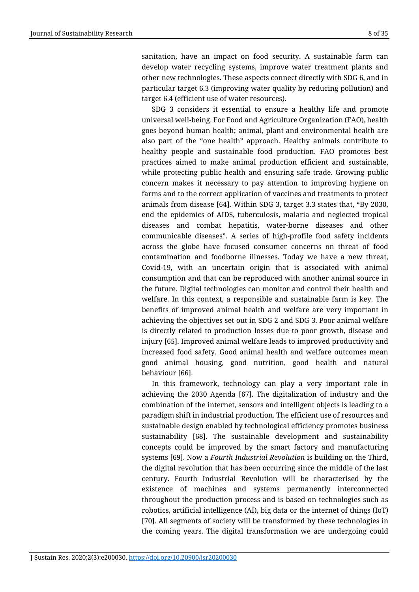sanitation, have an impact on food security. A sustainable farm can develop water recycling systems, improve water treatment plants and other new technologies. These aspects connect directly with SDG 6, and in particular target 6.3 (improving water quality by reducing pollution) and target 6.4 (efficient use of water resources).

SDG 3 considers it essential to ensure a healthy life and promote universal well-being. For Food and Agriculture Organization (FAO), health goes beyond human health; animal, plant and environmental health are also part of the "one health" approach. Healthy animals contribute to healthy people and sustainable food production. FAO promotes best practices aimed to make animal production efficient and sustainable, while protecting public health and ensuring safe trade. Growing public concern makes it necessary to pay attention to improving hygiene on farms and to the correct application of vaccines and treatments to protect animals from disease [64]. Within SDG 3, target 3.3 states that, "By 2030, end the epidemics of AIDS, tuberculosis, malaria and neglected tropical diseases and combat hepatitis, water-borne diseases and other communicable diseases". A series of high-profile food safety incidents across the globe have focused consumer concerns on threat of food contamination and foodborne illnesses. Today we have a new threat, Covid-19, with an uncertain origin that is associated with animal consumption and that can be reproduced with another animal source in the future. Digital technologies can monitor and control their health and welfare. In this context, a responsible and sustainable farm is key. The benefits of improved animal health and welfare are very important in achieving the objectives set out in SDG 2 and SDG 3. Poor animal welfare is directly related to production losses due to poor growth, disease and injury [65]. Improved animal welfare leads to improved productivity and increased food safety. Good animal health and welfare outcomes mean good animal housing, good nutrition, good health and natural behaviour [66].

In this framework, technology can play a very important role in achieving the 2030 Agenda [67]. The digitalization of industry and the combination of the internet, sensors and intelligent objects is leading to a paradigm shift in industrial production. The efficient use of resources and sustainable design enabled by technological efficiency promotes business sustainability [68]. The sustainable development and sustainability concepts could be improved by the smart factory and manufacturing systems [69]. Now a *Fourth Industrial Revolution* is building on the Third, the digital revolution that has been occurring since the middle of the last century. Fourth Industrial Revolution will be characterised by the existence of machines and systems permanently interconnected throughout the production process and is based on technologies such as robotics, artificial intelligence (AI), big data or the internet of things (IoT) [70]. All segments of society will be transformed by these technologies in the coming years. The digital transformation we are undergoing could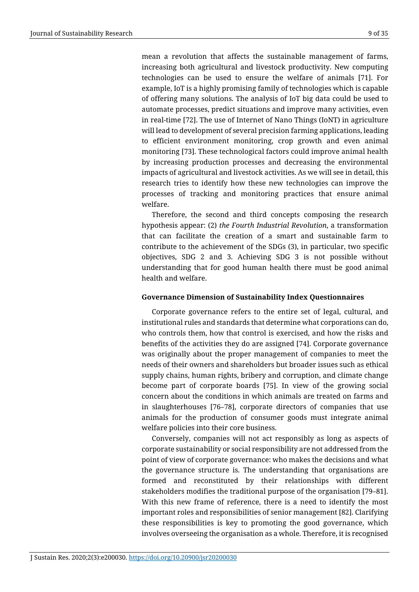mean a revolution that affects the sustainable management of farms, increasing both agricultural and livestock productivity. New computing technologies can be used to ensure the welfare of animals [71]. For example, IoT is a highly promising family of technologies which is capable of offering many solutions. The analysis of IoT big data could be used to automate processes, predict situations and improve many activities, even in real-time [72]. The use of Internet of Nano Things (IoNT) in agriculture will lead to development of several precision farming applications, leading to efficient environment monitoring, crop growth and even animal monitoring [73]. These technological factors could improve animal health by increasing production processes and decreasing the environmental impacts of agricultural and livestock activities. As we will see in detail, this research tries to identify how these new technologies can improve the processes of tracking and monitoring practices that ensure animal welfare.

Therefore, the second and third concepts composing the research hypothesis appear: (2) *the Fourth Industrial Revolution*, a transformation that can facilitate the creation of a smart and sustainable farm to contribute to the achievement of the SDGs (3), in particular, two specific objectives, SDG 2 and 3. Achieving SDG 3 is not possible without understanding that for good human health there must be good animal health and welfare.

## **Governance Dimension of Sustainability Index Questionnaires**

Corporate governance refers to the entire set of legal, cultural, and institutional rules and standards that determine what corporations can do, who controls them, how that control is exercised, and how the risks and benefits of the activities they do are assigned [74]. Corporate governance was originally about the proper management of companies to meet the needs of their owners and shareholders but broader issues such as ethical supply chains, human rights, bribery and corruption, and climate change become part of corporate boards [75]. In view of the growing social concern about the conditions in which animals are treated on farms and in slaughterhouses [76–78], corporate directors of companies that use animals for the production of consumer goods must integrate animal welfare policies into their core business.

Conversely, companies will not act responsibly as long as aspects of corporate sustainability or social responsibility are not addressed from the point of view of corporate governance: who makes the decisions and what the governance structure is. The understanding that organisations are formed and reconstituted by their relationships with different stakeholders modifies the traditional purpose of the organisation [79–81]. With this new frame of reference, there is a need to identify the most important roles and responsibilities of senior management [82]. Clarifying these responsibilities is key to promoting the good governance, which involves overseeing the organisation as a whole. Therefore, it is recognised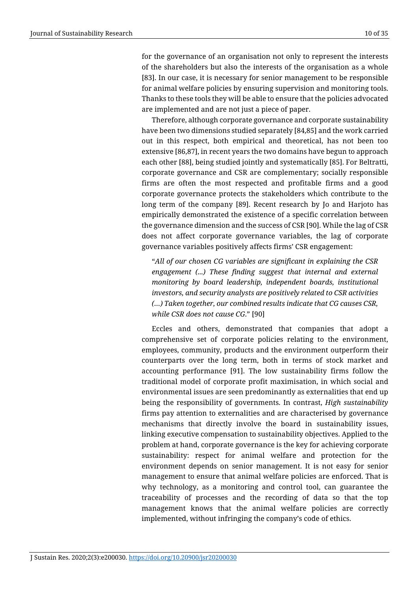for the governance of an organisation not only to represent the interests of the shareholders but also the interests of the organisation as a whole [83]. In our case, it is necessary for senior management to be responsible for animal welfare policies by ensuring supervision and monitoring tools. Thanks to these tools they will be able to ensure that the policies advocated are implemented and are not just a piece of paper.

Therefore, although corporate governance and corporate sustainability have been two dimensions studied separately [84,85] and the work carried out in this respect, both empirical and theoretical, has not been too extensive [86,87], in recent years the two domains have begun to approach each other [88], being studied jointly and systematically [85]. For Beltratti, corporate governance and CSR are complementary; socially responsible firms are often the most respected and profitable firms and a good corporate governance protects the stakeholders which contribute to the long term of the company [89]. Recent research by Jo and Harjoto has empirically demonstrated the existence of a specific correlation between the governance dimension and the success of CSR [90]. While the lag of CSR does not affect corporate governance variables, the lag of corporate governance variables positively affects firms' CSR engagement:

"*All of our chosen CG variables are significant in explaining the CSR engagement (...) These finding suggest that internal and external monitoring by board leadership, independent boards, institutional investors, and security analysts are positively related to CSR activities (…) Taken together, our combined results indicate that CG causes CSR, while CSR does not cause CG*." [90]

Eccles and others, demonstrated that companies that adopt a comprehensive set of corporate policies relating to the environment, employees, community, products and the environment outperform their counterparts over the long term, both in terms of stock market and accounting performance [91]. The low sustainability firms follow the traditional model of corporate profit maximisation, in which social and environmental issues are seen predominantly as externalities that end up being the responsibility of governments. In contrast, *High sustainability* firms pay attention to externalities and are characterised by governance mechanisms that directly involve the board in sustainability issues, linking executive compensation to sustainability objectives. Applied to the problem at hand, corporate governance is the key for achieving corporate sustainability: respect for animal welfare and protection for the environment depends on senior management. It is not easy for senior management to ensure that animal welfare policies are enforced. That is why technology, as a monitoring and control tool, can guarantee the traceability of processes and the recording of data so that the top management knows that the animal welfare policies are correctly implemented, without infringing the company's code of ethics.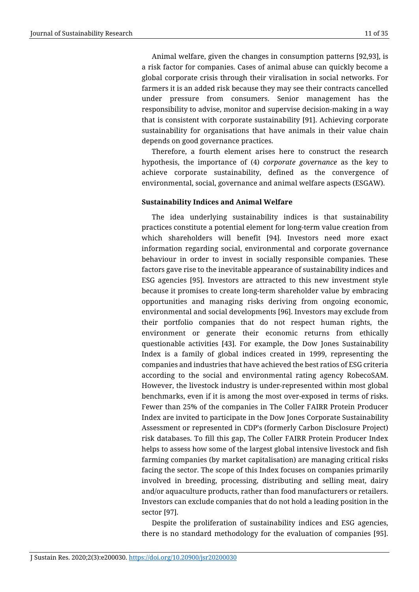Animal welfare, given the changes in consumption patterns [92,93], is a risk factor for companies. Cases of animal abuse can quickly become a global corporate crisis through their viralisation in social networks. For farmers it is an added risk because they may see their contracts cancelled under pressure from consumers. Senior management has the responsibility to advise, monitor and supervise decision-making in a way that is consistent with corporate sustainability [91]. Achieving corporate sustainability for organisations that have animals in their value chain depends on good governance practices.

Therefore, a fourth element arises here to construct the research hypothesis, the importance of (4) *corporate governance* as the key to achieve corporate sustainability, defined as the convergence of environmental, social, governance and animal welfare aspects (ESGAW).

# **Sustainability Indices and Animal Welfare**

The idea underlying sustainability indices is that sustainability practices constitute a potential element for long-term value creation from which shareholders will benefit [94]. Investors need more exact information regarding social, environmental and corporate governance behaviour in order to invest in socially responsible companies. These factors gave rise to the inevitable appearance of sustainability indices and ESG agencies [95]. Investors are attracted to this new investment style because it promises to create long-term shareholder value by embracing opportunities and managing risks deriving from ongoing economic, environmental and social developments [96]. Investors may exclude from their portfolio companies that do not respect human rights, the environment or generate their economic returns from ethically questionable activities [43]. For example, the Dow Jones Sustainability Index is a family of global indices created in 1999, representing the companies and industries that have achieved the best ratios of ESG criteria according to the social and environmental rating agency RobecoSAM. However, the livestock industry is under-represented within most global benchmarks, even if it is among the most over-exposed in terms of risks. Fewer than 25% of the companies in The Coller FAIRR Protein Producer Index are invited to participate in the Dow Jones Corporate Sustainability Assessment or represented in CDP's (formerly Carbon Disclosure Project) risk databases. To fill this gap, The Coller FAIRR Protein Producer Index helps to assess how some of the largest global intensive livestock and fish farming companies (by market capitalisation) are managing critical risks facing the sector. The scope of this Index focuses on companies primarily involved in breeding, processing, distributing and selling meat, dairy and/or aquaculture products, rather than food manufacturers or retailers. Investors can exclude companies that do not hold a leading position in the sector [97].

Despite the proliferation of sustainability indices and ESG agencies, there is no standard methodology for the evaluation of companies [95].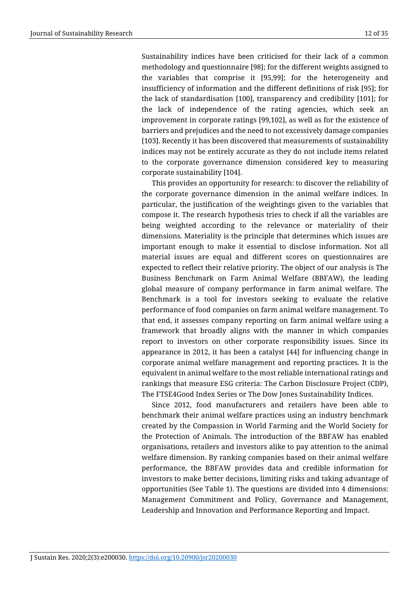Sustainability indices have been criticised for their lack of a common methodology and questionnaire [98]; for the different weights assigned to the variables that comprise it [95,99]; for the heterogeneity and insufficiency of information and the different definitions of risk [95]; for the lack of standardisation [100], transparency and credibility [101]; for the lack of independence of the rating agencies, which seek an improvement in corporate ratings [99,102], as well as for the existence of barriers and prejudices and the need to not excessively damage companies [103]. Recently it has been discovered that measurements of sustainability indices may not be entirely accurate as they do not include items related to the corporate governance dimension considered key to measuring corporate sustainability [104].

This provides an opportunity for research: to discover the reliability of the corporate governance dimension in the animal welfare indices. In particular, the justification of the weightings given to the variables that compose it. The research hypothesis tries to check if all the variables are being weighted according to the relevance or materiality of their dimensions. Materiality is the principle that determines which issues are important enough to make it essential to disclose information. Not all material issues are equal and different scores on questionnaires are expected to reflect their relative priority. The object of our analysis is The Business Benchmark on Farm Animal Welfare (BBFAW), the leading global measure of company performance in farm animal welfare. The Benchmark is a tool for investors seeking to evaluate the relative performance of food companies on farm animal welfare management. To that end, it assesses company reporting on farm animal welfare using a framework that broadly aligns with the manner in which companies report to investors on other corporate responsibility issues. Since its appearance in 2012, it has been a catalyst [44] for influencing change in corporate animal welfare management and reporting practices. It is the equivalent in animal welfare to the most reliable international ratings and rankings that measure ESG criteria: The Carbon Disclosure Project (CDP), The FTSE4Good Index Series or The Dow Jones Sustainability Indices.

Since 2012, food manufacturers and retailers have been able to benchmark their animal welfare practices using an industry benchmark created by the Compassion in World Farming and the World Society for the Protection of Animals. The introduction of the BBFAW has enabled organisations, retailers and investors alike to pay attention to the animal welfare dimension. By ranking companies based on their animal welfare performance, the BBFAW provides data and credible information for investors to make better decisions, limiting risks and taking advantage of opportunities (See Table 1). The questions are divided into 4 dimensions: Management Commitment and Policy, Governance and Management, Leadership and Innovation and Performance Reporting and Impact.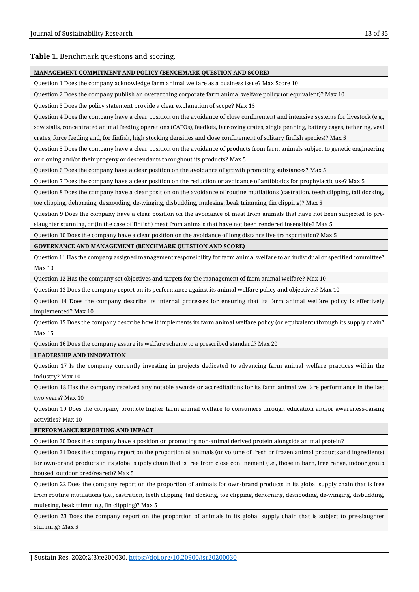#### **MANAGEMENT COMMITMENT AND POLICY (BENCHMARK QUESTION AND SCORE)**

Question 1 Does the company acknowledge farm animal welfare as a business issue? Max Score 10

Question 2 Does the company publish an overarching corporate farm animal welfare policy (or equivalent)? Max 10

Question 3 Does the policy statement provide a clear explanation of scope? Max 15

Question 4 Does the company have a clear position on the avoidance of close confinement and intensive systems for livestock (e.g., sow stalls, concentrated animal feeding operations (CAFOs), feedlots, farrowing crates, single penning, battery cages, tethering, veal crates, force feeding and, for finfish, high stocking densities and close confinement of solitary finfish species)? Max 5

Question 5 Does the company have a clear position on the avoidance of products from farm animals subject to genetic engineering or cloning and/or their progeny or descendants throughout its products? Max 5

Question 6 Does the company have a clear position on the avoidance of growth promoting substances? Max 5

Question 7 Does the company have a clear position on the reduction or avoidance of antibiotics for prophylactic use? Max 5

Question 8 Does the company have a clear position on the avoidance of routine mutilations (castration, teeth clipping, tail docking, toe clipping, dehorning, desnooding, de-winging, disbudding, mulesing, beak trimming, fin clipping)? Max 5

Question 9 Does the company have a clear position on the avoidance of meat from animals that have not been subjected to preslaughter stunning, or (in the case of finfish) meat from animals that have not been rendered insensible? Max 5

Question 10 Does the company have a clear position on the avoidance of long distance live transportation? Max 5

**GOVERNANCE AND MANAGEMENT (BENCHMARK QUESTION AND SCORE)**

Question 11 Has the company assigned management responsibility for farm animal welfare to an individual or specified committee? Max 10

Question 12 Has the company set objectives and targets for the management of farm animal welfare? Max 10

Question 13 Does the company report on its performance against its animal welfare policy and objectives? Max 10

Question 14 Does the company describe its internal processes for ensuring that its farm animal welfare policy is effectively implemented? Max 10

Question 15 Does the company describe how it implements its farm animal welfare policy (or equivalent) through its supply chain? Max 15

Question 16 Does the company assure its welfare scheme to a prescribed standard? Max 20

**LEADERSHIP AND INNOVATION**

Question 17 Is the company currently investing in projects dedicated to advancing farm animal welfare practices within the industry? Max 10

Question 18 Has the company received any notable awards or accreditations for its farm animal welfare performance in the last two years? Max 10

Question 19 Does the company promote higher farm animal welfare to consumers through education and/or awareness-raising activities? Max 10

#### **PERFORMANCE REPORTING AND IMPACT**

Question 20 Does the company have a position on promoting non-animal derived protein alongside animal protein?

Question 21 Does the company report on the proportion of animals (or volume of fresh or frozen animal products and ingredients) for own-brand products in its global supply chain that is free from close confinement (i.e., those in barn, free range, indoor group housed, outdoor bred/reared)? Max 5

Question 22 Does the company report on the proportion of animals for own-brand products in its global supply chain that is free from routine mutilations (i.e., castration, teeth clipping, tail docking, toe clipping, dehorning, desnooding, de-winging, disbudding, mulesing, beak trimming, fin clipping)? Max 5

Question 23 Does the company report on the proportion of animals in its global supply chain that is subject to pre-slaughter stunning? Max 5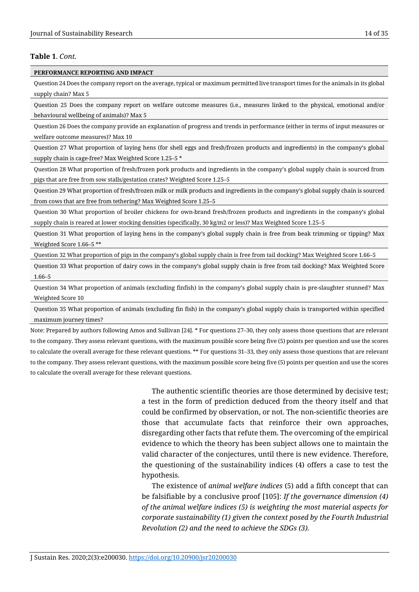#### **PERFORMANCE REPORTING AND IMPACT**

Question 24 Does the company report on the average, typical or maximum permitted live transport times for the animals in its global supply chain? Max 5

Question 25 Does the company report on welfare outcome measures (i.e., measures linked to the physical, emotional and/or behavioural wellbeing of animals)? Max 5

Question 26 Does the company provide an explanation of progress and trends in performance (either in terms of input measures or welfare outcome measures)? Max 10

Question 27 What proportion of laying hens (for shell eggs and fresh/frozen products and ingredients) in the company's global supply chain is cage-free? Max Weighted Score 1.25–5 \*

Question 28 What proportion of fresh/frozen pork products and ingredients in the company's global supply chain is sourced from pigs that are free from sow stalls/gestation crates? Weighted Score 1.25–5

Question 29 What proportion of fresh/frozen milk or milk products and ingredients in the company's global supply chain is sourced from cows that are free from tethering? Max Weighted Score 1.25–5

Question 30 What proportion of broiler chickens for own-brand fresh/frozen products and ingredients in the company's global supply chain is reared at lower stocking densities (specifically, 30 kg/m2 or less)? Max Weighted Score 1.25–5

Question 31 What proportion of laying hens in the company's global supply chain is free from beak trimming or tipping? Max Weighted Score 1.66–5 \*\*

Question 32 What proportion of pigs in the company's global supply chain is free from tail docking? Max Weighted Score 1.66–5

Question 33 What proportion of dairy cows in the company's global supply chain is free from tail docking? Max Weighted Score 1.66–5

Question 34 What proportion of animals (excluding finfish) in the company's global supply chain is pre-slaughter stunned? Max Weighted Score 10

Question 35 What proportion of animals (excluding fin fish) in the company's global supply chain is transported within specified maximum journey times?

Note: Prepared by authors following Amos and Sullivan [24]. \* For questions 27–30, they only assess those questions that are relevant to the company. They assess relevant questions, with the maximum possible score being five (5) points per question and use the scores to calculate the overall average for these relevant questions. \*\* For questions 31–33, they only assess those questions that are relevant to the company. They assess relevant questions, with the maximum possible score being five (5) points per question and use the scores to calculate the overall average for these relevant questions.

> The authentic scientific theories are those determined by decisive test; a test in the form of prediction deduced from the theory itself and that could be confirmed by observation, or not. The non-scientific theories are those that accumulate facts that reinforce their own approaches, disregarding other facts that refute them. The overcoming of the empirical evidence to which the theory has been subject allows one to maintain the valid character of the conjectures, until there is new evidence. Therefore, the questioning of the sustainability indices (4) offers a case to test the hypothesis.

> The existence of *animal welfare indices* (5) add a fifth concept that can be falsifiable by a conclusive proof [105]: *If the governance dimension (4) of the animal welfare indices (5) is weighting the most material aspects for corporate sustainability (1) given the context posed by the Fourth Industrial Revolution (2) and the need to achieve the SDGs (3).*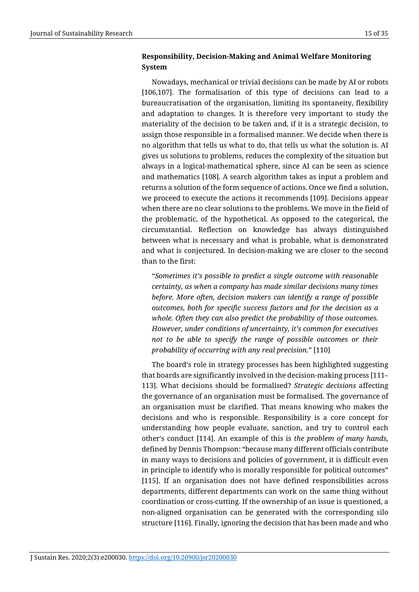# **Responsibility, Decision-Making and Animal Welfare Monitoring System**

Nowadays, mechanical or trivial decisions can be made by AI or robots [106,107]. The formalisation of this type of decisions can lead to a bureaucratisation of the organisation, limiting its spontaneity, flexibility and adaptation to changes. It is therefore very important to study the materiality of the decision to be taken and, if it is a strategic decision, to assign those responsible in a formalised manner. We decide when there is no algorithm that tells us what to do, that tells us what the solution is. AI gives us solutions to problems, reduces the complexity of the situation but always in a logical-mathematical sphere, since AI can be seen as science and mathematics [108]. A search algorithm takes as input a problem and returns a solution of the form sequence of actions. Once we find a solution, we proceed to execute the actions it recommends [109]. Decisions appear when there are no clear solutions to the problems. We move in the field of the problematic, of the hypothetical. As opposed to the categorical, the circumstantial. Reflection on knowledge has always distinguished between what is necessary and what is probable, what is demonstrated and what is conjectured. In decision-making we are closer to the second than to the first:

"*Sometimes it's possible to predict a single outcome with reasonable certainty, as when a company has made similar decisions many times before. More often, decision makers can identify a range of possible outcomes, both for specific success factors and for the decision as a whole. Often they can also predict the probability of those outcomes. However, under conditions of uncertainty, it's common for executives not to be able to specify the range of possible outcomes or their probability of occurring with any real precision*." [110]

The board's role in strategy processes has been highlighted suggesting that boards are significantly involved in the decision-making process [111– 113]. What decisions should be formalised? *Strategic decisions* affecting the governance of an organisation must be formalised. The governance of an organisation must be clarified. That means knowing who makes the decisions and who is responsible. Responsibility is a core concept for understanding how people evaluate, sanction, and try to control each other's conduct [114]. An example of this is *the problem of many hands,*  defined by Dennis Thompson: "because many different officials contribute in many ways to decisions and policies of government, it is difficult even in principle to identify who is morally responsible for political outcomes" [115]. If an organisation does not have defined responsibilities across departments, different departments can work on the same thing without coordination or cross-cutting. If the ownership of an issue is questioned, a non-aligned organisation can be generated with the corresponding silo structure [116]. Finally, ignoring the decision that has been made and who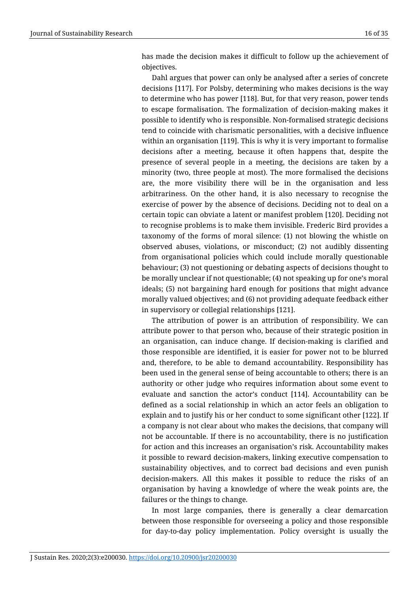has made the decision makes it difficult to follow up the achievement of objectives.

Dahl argues that power can only be analysed after a series of concrete decisions [117]. For Polsby, determining who makes decisions is the way to determine who has power [118]. But, for that very reason, power tends to escape formalisation. The formalization of decision-making makes it possible to identify who is responsible. Non-formalised strategic decisions tend to coincide with charismatic personalities, with a decisive influence within an organisation [119]. This is why it is very important to formalise decisions after a meeting, because it often happens that, despite the presence of several people in a meeting, the decisions are taken by a minority (two, three people at most). The more formalised the decisions are, the more visibility there will be in the organisation and less arbitrariness. On the other hand, it is also necessary to recognise the exercise of power by the absence of decisions. Deciding not to deal on a certain topic can obviate a latent or manifest problem [120]. Deciding not to recognise problems is to make them invisible. Frederic Bird provides a taxonomy of the forms of moral silence: (1) not blowing the whistle on observed abuses, violations, or misconduct; (2) not audibly dissenting from organisational policies which could include morally questionable behaviour; (3) not questioning or debating aspects of decisions thought to be morally unclear if not questionable; (4) not speaking up for one's moral ideals; (5) not bargaining hard enough for positions that might advance morally valued objectives; and (6) not providing adequate feedback either in supervisory or collegial relationships [121].

The attribution of power is an attribution of responsibility. We can attribute power to that person who, because of their strategic position in an organisation, can induce change. If decision-making is clarified and those responsible are identified, it is easier for power not to be blurred and, therefore, to be able to demand accountability. Responsibility has been used in the general sense of being accountable to others; there is an authority or other judge who requires information about some event to evaluate and sanction the actor's conduct [114]. Accountability can be defined as a social relationship in which an actor feels an obligation to explain and to justify his or her conduct to some significant other [122]. If a company is not clear about who makes the decisions, that company will not be accountable. If there is no accountability, there is no justification for action and this increases an organisation's risk. Accountability makes it possible to reward decision-makers, linking executive compensation to sustainability objectives, and to correct bad decisions and even punish decision-makers. All this makes it possible to reduce the risks of an organisation by having a knowledge of where the weak points are, the failures or the things to change.

In most large companies, there is generally a clear demarcation between those responsible for overseeing a policy and those responsible for day-to-day policy implementation. Policy oversight is usually the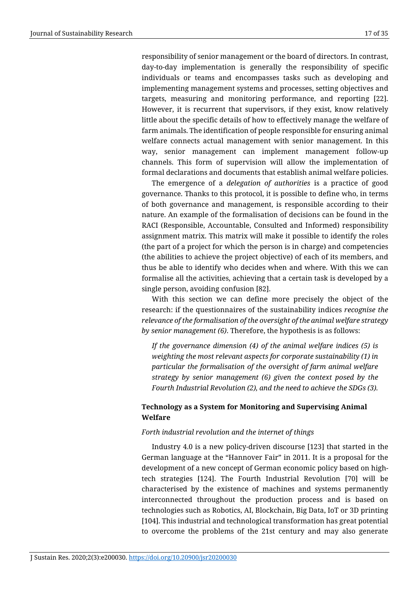responsibility of senior management or the board of directors. In contrast, day-to-day implementation is generally the responsibility of specific individuals or teams and encompasses tasks such as developing and implementing management systems and processes, setting objectives and targets, measuring and monitoring performance, and reporting [22]. However, it is recurrent that supervisors, if they exist, know relatively little about the specific details of how to effectively manage the welfare of farm animals. The identification of people responsible for ensuring animal welfare connects actual management with senior management. In this way, senior management can implement management follow-up channels. This form of supervision will allow the implementation of formal declarations and documents that establish animal welfare policies.

The emergence of a *delegation of authorities* is a practice of good governance. Thanks to this protocol, it is possible to define who, in terms of both governance and management, is responsible according to their nature. An example of the formalisation of decisions can be found in the RACI (Responsible, Accountable, Consulted and Informed) responsibility assignment matrix. This matrix will make it possible to identify the roles (the part of a project for which the person is in charge) and competencies (the abilities to achieve the project objective) of each of its members, and thus be able to identify who decides when and where. With this we can formalise all the activities, achieving that a certain task is developed by a single person, avoiding confusion [82].

With this section we can define more precisely the object of the research: if the questionnaires of the sustainability indices *recognise the relevance of the formalisation of the oversight of the animal welfare strategy by senior management (6)*. Therefore, the hypothesis is as follows:

*If the governance dimension (4) of the animal welfare indices (5) is weighting the most relevant aspects for corporate sustainability (1) in particular the formalisation of the oversight of farm animal welfare strategy by senior management (6) given the context posed by the Fourth Industrial Revolution (2), and the need to achieve the SDGs (3).*

# **Technology as a System for Monitoring and Supervising Animal Welfare**

## *Forth industrial revolution and the internet of things*

Industry 4.0 is a new policy-driven discourse [123] that started in the German language at the "Hannover Fair" in 2011. It is a proposal for the development of a new concept of German economic policy based on hightech strategies [124]. The Fourth Industrial Revolution [70] will be characterised by the existence of machines and systems permanently interconnected throughout the production process and is based on technologies such as Robotics, AI, Blockchain, Big Data, IoT or 3D printing [104]. This industrial and technological transformation has great potential to overcome the problems of the 21st century and may also generate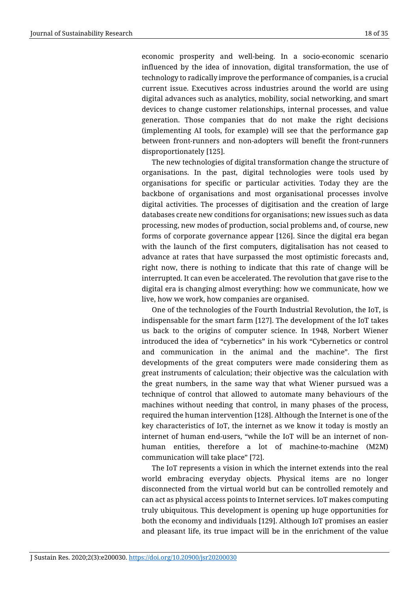economic prosperity and well-being. In a socio-economic scenario influenced by the idea of innovation, digital transformation, the use of technology to radically improve the performance of companies, is a crucial current issue. Executives across industries around the world are using digital advances such as analytics, mobility, social networking, and smart devices to change customer relationships, internal processes, and value generation. Those companies that do not make the right decisions (implementing AI tools, for example) will see that the performance gap between front-runners and non-adopters will benefit the front-runners disproportionately [125].

The new technologies of digital transformation change the structure of organisations. In the past, digital technologies were tools used by organisations for specific or particular activities. Today they are the backbone of organisations and most organisational processes involve digital activities. The processes of digitisation and the creation of large databases create new conditions for organisations; new issues such as data processing, new modes of production, social problems and, of course, new forms of corporate governance appear [126]. Since the digital era began with the launch of the first computers, digitalisation has not ceased to advance at rates that have surpassed the most optimistic forecasts and, right now, there is nothing to indicate that this rate of change will be interrupted. It can even be accelerated. The revolution that gave rise to the digital era is changing almost everything: how we communicate, how we live, how we work, how companies are organised.

One of the technologies of the Fourth Industrial Revolution, the IoT, is indispensable for the smart farm [127]. The development of the IoT takes us back to the origins of computer science. In 1948, Norbert Wiener introduced the idea of "cybernetics" in his work "Cybernetics or control and communication in the animal and the machine". The first developments of the great computers were made considering them as great instruments of calculation; their objective was the calculation with the great numbers, in the same way that what Wiener pursued was a technique of control that allowed to automate many behaviours of the machines without needing that control, in many phases of the process, required the human intervention [128]. Although the Internet is one of the key characteristics of IoT, the internet as we know it today is mostly an internet of human end-users, "while the IoT will be an internet of nonhuman entities, therefore a lot of machine-to-machine (M2M) communication will take place" [72].

The IoT represents a vision in which the internet extends into the real world embracing everyday objects. Physical items are no longer disconnected from the virtual world but can be controlled remotely and can act as physical access points to Internet services. IoT makes computing truly ubiquitous. This development is opening up huge opportunities for both the economy and individuals [129]. Although IoT promises an easier and pleasant life, its true impact will be in the enrichment of the value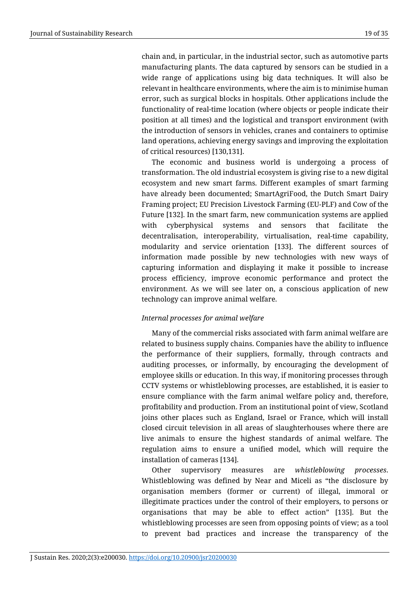chain and, in particular, in the industrial sector, such as automotive parts manufacturing plants. The data captured by sensors can be studied in a wide range of applications using big data techniques. It will also be relevant in healthcare environments, where the aim is to minimise human error, such as surgical blocks in hospitals. Other applications include the functionality of real-time location (where objects or people indicate their position at all times) and the logistical and transport environment (with the introduction of sensors in vehicles, cranes and containers to optimise land operations, achieving energy savings and improving the exploitation of critical resources) [130,131].

The economic and business world is undergoing a process of transformation. The old industrial ecosystem is giving rise to a new digital ecosystem and new smart farms. Different examples of smart farming have already been documented; SmartAgriFood, the Dutch Smart Dairy Framing project; EU Precision Livestock Farming (EU-PLF) and Cow of the Future [132]. In the smart farm, new communication systems are applied with cyberphysical systems and sensors that facilitate the decentralisation, interoperability, virtualisation, real-time capability, modularity and service orientation [133]. The different sources of information made possible by new technologies with new ways of capturing information and displaying it make it possible to increase process efficiency, improve economic performance and protect the environment. As we will see later on, a conscious application of new technology can improve animal welfare.

## *Internal processes for animal welfare*

Many of the commercial risks associated with farm animal welfare are related to business supply chains. Companies have the ability to influence the performance of their suppliers, formally, through contracts and auditing processes, or informally, by encouraging the development of employee skills or education. In this way, if monitoring processes through CCTV systems or whistleblowing processes, are established, it is easier to ensure compliance with the farm animal welfare policy and, therefore, profitability and production. From an institutional point of view, Scotland joins other places such as England, Israel or France, which will install closed circuit television in all areas of slaughterhouses where there are live animals to ensure the highest standards of animal welfare. The regulation aims to ensure a unified model, which will require the installation of cameras [134].

Other supervisory measures are *whistleblowing processes*. Whistleblowing was defined by Near and Miceli as "the disclosure by organisation members (former or current) of illegal, immoral or illegitimate practices under the control of their employers, to persons or organisations that may be able to effect action" [135]. But the whistleblowing processes are seen from opposing points of view; as a tool to prevent bad practices and increase the transparency of the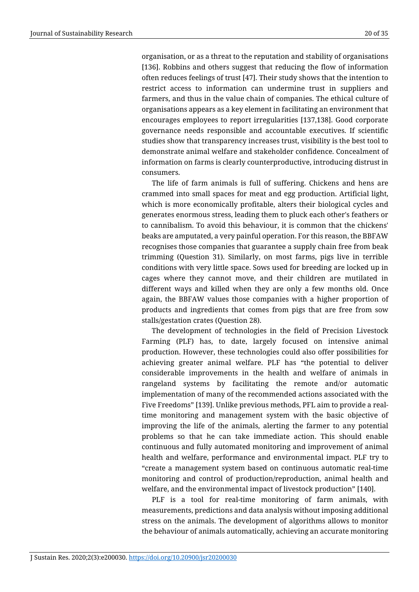organisation, or as a threat to the reputation and stability of organisations [136]. Robbins and others suggest that reducing the flow of information often reduces feelings of trust [47]. Their study shows that the intention to restrict access to information can undermine trust in suppliers and farmers, and thus in the value chain of companies. The ethical culture of organisations appears as a key element in facilitating an environment that encourages employees to report irregularities [137,138]. Good corporate governance needs responsible and accountable executives. If scientific studies show that transparency increases trust, visibility is the best tool to demonstrate animal welfare and stakeholder confidence. Concealment of information on farms is clearly counterproductive, introducing distrust in consumers.

The life of farm animals is full of suffering. Chickens and hens are crammed into small spaces for meat and egg production. Artificial light, which is more economically profitable, alters their biological cycles and generates enormous stress, leading them to pluck each other's feathers or to cannibalism. To avoid this behaviour, it is common that the chickens' beaks are amputated, a very painful operation. For this reason, the BBFAW recognises those companies that guarantee a supply chain free from beak trimming (Question 31). Similarly, on most farms, pigs live in terrible conditions with very little space. Sows used for breeding are locked up in cages where they cannot move, and their children are mutilated in different ways and killed when they are only a few months old. Once again, the BBFAW values those companies with a higher proportion of products and ingredients that comes from pigs that are free from sow stalls/gestation crates (Question 28).

The development of technologies in the field of Precision Livestock Farming (PLF) has, to date, largely focused on intensive animal production. However, these technologies could also offer possibilities for achieving greater animal welfare. PLF has "the potential to deliver considerable improvements in the health and welfare of animals in rangeland systems by facilitating the remote and/or automatic implementation of many of the recommended actions associated with the Five Freedoms" [139]. Unlike previous methods, PFL aim to provide a realtime monitoring and management system with the basic objective of improving the life of the animals, alerting the farmer to any potential problems so that he can take immediate action. This should enable continuous and fully automated monitoring and improvement of animal health and welfare, performance and environmental impact. PLF try to "create a management system based on continuous automatic real-time monitoring and control of production/reproduction, animal health and welfare, and the environmental impact of livestock production" [140].

PLF is a tool for real-time monitoring of farm animals, with measurements, predictions and data analysis without imposing additional stress on the animals. The development of algorithms allows to monitor the behaviour of animals automatically, achieving an accurate monitoring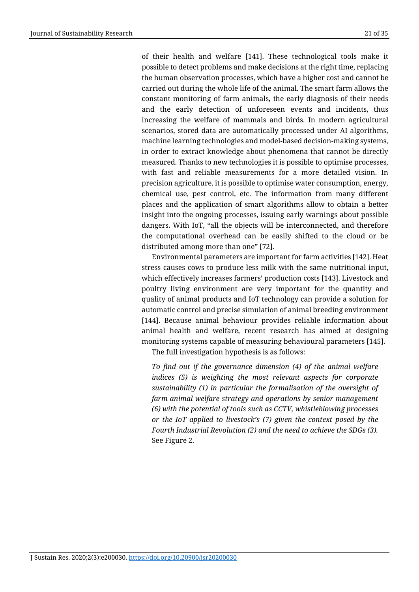of their health and welfare [141]. These technological tools make it possible to detect problems and make decisions at the right time, replacing the human observation processes, which have a higher cost and cannot be carried out during the whole life of the animal. The smart farm allows the constant monitoring of farm animals, the early diagnosis of their needs and the early detection of unforeseen events and incidents, thus increasing the welfare of mammals and birds. In modern agricultural scenarios, stored data are automatically processed under AI algorithms, machine learning technologies and model-based decision-making systems, in order to extract knowledge about phenomena that cannot be directly measured. Thanks to new technologies it is possible to optimise processes, with fast and reliable measurements for a more detailed vision. In precision agriculture, it is possible to optimise water consumption, energy, chemical use, pest control, etc. The information from many different places and the application of smart algorithms allow to obtain a better insight into the ongoing processes, issuing early warnings about possible dangers. With IoT, "all the objects will be interconnected, and therefore the computational overhead can be easily shifted to the cloud or be distributed among more than one" [72].

Environmental parameters are important for farm activities [142]. Heat stress causes cows to produce less milk with the same nutritional input, which effectively increases farmers' production costs [143]. Livestock and poultry living environment are very important for the quantity and quality of animal products and IoT technology can provide a solution for automatic control and precise simulation of animal breeding environment [144]. Because animal behaviour provides reliable information about animal health and welfare, recent research has aimed at designing monitoring systems capable of measuring behavioural parameters [145].

The full investigation hypothesis is as follows:

*To find out if the governance dimension (4) of the animal welfare indices (5) is weighting the most relevant aspects for corporate sustainability (1) in particular the formalisation of the oversight of farm animal welfare strategy and operations by senior management (6) with the potential of tools such as CCTV, whistleblowing processes or the IoT applied to livestock's (7) given the context posed by the Fourth Industrial Revolution (2) and the need to achieve the SDGs (3).* See Figure 2.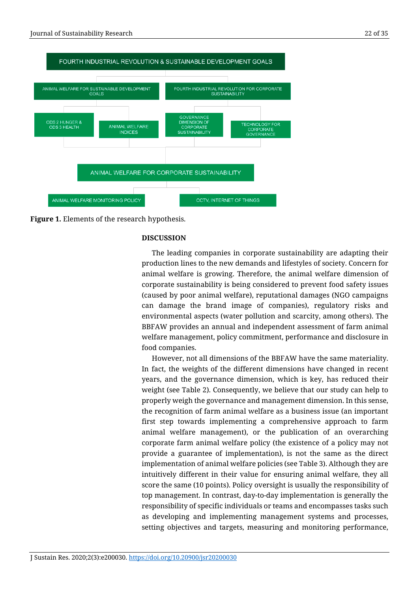



# **DISCUSSION**

The leading companies in corporate sustainability are adapting their production lines to the new demands and lifestyles of society. Concern for animal welfare is growing. Therefore, the animal welfare dimension of corporate sustainability is being considered to prevent food safety issues (caused by poor animal welfare), reputational damages (NGO campaigns can damage the brand image of companies), regulatory risks and environmental aspects (water pollution and scarcity, among others). The BBFAW provides an annual and independent assessment of farm animal welfare management, policy commitment, performance and disclosure in food companies.

However, not all dimensions of the BBFAW have the same materiality. In fact, the weights of the different dimensions have changed in recent years, and the governance dimension, which is key, has reduced their weight (see Table 2). Consequently, we believe that our study can help to properly weigh the governance and management dimension. In this sense, the recognition of farm animal welfare as a business issue (an important first step towards implementing a comprehensive approach to farm animal welfare management), or the publication of an overarching corporate farm animal welfare policy (the existence of a policy may not provide a guarantee of implementation), is not the same as the direct implementation of animal welfare policies (see Table 3). Although they are intuitively different in their value for ensuring animal welfare, they all score the same (10 points). Policy oversight is usually the responsibility of top management. In contrast, day-to-day implementation is generally the responsibility of specific individuals or teams and encompasses tasks such as developing and implementing management systems and processes, setting objectives and targets, measuring and monitoring performance,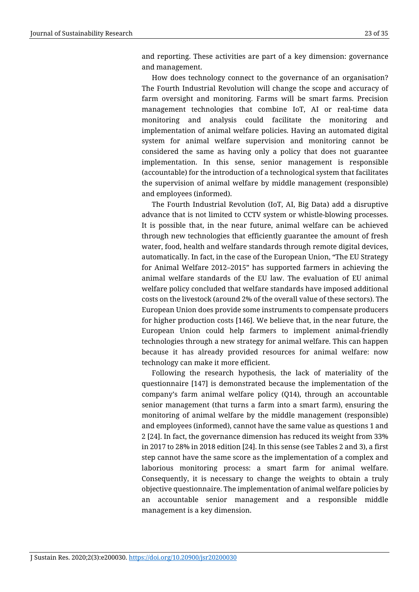and reporting. These activities are part of a key dimension: governance and management.

How does technology connect to the governance of an organisation? The Fourth Industrial Revolution will change the scope and accuracy of farm oversight and monitoring. Farms will be smart farms. Precision management technologies that combine IoT, AI or real-time data monitoring and analysis could facilitate the monitoring and implementation of animal welfare policies. Having an automated digital system for animal welfare supervision and monitoring cannot be considered the same as having only a policy that does not guarantee implementation. In this sense, senior management is responsible (accountable) for the introduction of a technological system that facilitates the supervision of animal welfare by middle management (responsible) and employees (informed).

The Fourth Industrial Revolution (IoT, AI, Big Data) add a disruptive advance that is not limited to CCTV system or whistle-blowing processes. It is possible that, in the near future, animal welfare can be achieved through new technologies that efficiently guarantee the amount of fresh water, food, health and welfare standards through remote digital devices, automatically. In fact, in the case of the European Union, "The EU Strategy for Animal Welfare 2012–2015" has supported farmers in achieving the animal welfare standards of the EU law. The evaluation of EU animal welfare policy concluded that welfare standards have imposed additional costs on the livestock (around 2% of the overall value of these sectors). The European Union does provide some instruments to compensate producers for higher production costs [146]. We believe that, in the near future, the European Union could help farmers to implement animal-friendly technologies through a new strategy for animal welfare. This can happen because it has already provided resources for animal welfare: now technology can make it more efficient.

Following the research hypothesis, the lack of materiality of the questionnaire [147] is demonstrated because the implementation of the company's farm animal welfare policy (Q14), through an accountable senior management (that turns a farm into a smart farm), ensuring the monitoring of animal welfare by the middle management (responsible) and employees (informed), cannot have the same value as questions 1 and 2 [24]. In fact, the governance dimension has reduced its weight from 33% in 2017 to 28% in 2018 edition [24]. In this sense (see Tables 2 and 3), a first step cannot have the same score as the implementation of a complex and laborious monitoring process: a smart farm for animal welfare. Consequently, it is necessary to change the weights to obtain a truly objective questionnaire. The implementation of animal welfare policies by an accountable senior management and a responsible middle management is a key dimension.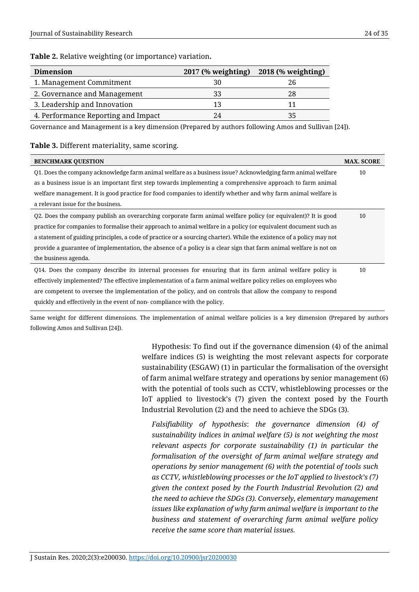## **Table 2.** Relative weighting (or importance) variation**.**

| <b>Dimension</b>                    | $2017$ (% weighting) | 2018 (% weighting) |
|-------------------------------------|----------------------|--------------------|
| 1. Management Commitment            | 30                   | 26                 |
| 2. Governance and Management        | 33                   |                    |
| 3. Leadership and Innovation        | 13                   |                    |
| 4. Performance Reporting and Impact | 24                   |                    |

Governance and Management is a key dimension (Prepared by authors following Amos and Sullivan [24]).

# **Table 3.** Different materiality, same scoring.

| <b>BENCHMARK QUESTION</b>                                                                                             | <b>MAX. SCORE</b> |
|-----------------------------------------------------------------------------------------------------------------------|-------------------|
| Q1. Does the company acknowledge farm animal welfare as a business issue? Acknowledging farm animal welfare           | 10                |
| as a business issue is an important first step towards implementing a comprehensive approach to farm animal           |                   |
| welfare management. It is good practice for food companies to identify whether and why farm animal welfare is         |                   |
| a relevant issue for the business.                                                                                    |                   |
| Q2. Does the company publish an overarching corporate farm animal welfare policy (or equivalent)? It is good          | 10                |
| practice for companies to formalise their approach to animal welfare in a policy (or equivalent document such as      |                   |
| a statement of guiding principles, a code of practice or a sourcing charter). While the existence of a policy may not |                   |
| provide a guarantee of implementation, the absence of a policy is a clear sign that farm animal welfare is not on     |                   |
| the business agenda.                                                                                                  |                   |
| Q14. Does the company describe its internal processes for ensuring that its farm animal welfare policy is             | 10                |
| effectively implemented? The effective implementation of a farm animal welfare policy relies on employees who         |                   |
| are competent to oversee the implementation of the policy, and on controls that allow the company to respond          |                   |
| quickly and effectively in the event of non-compliance with the policy.                                               |                   |

Same weight for different dimensions. The implementation of animal welfare policies is a key dimension (Prepared by authors following Amos and Sullivan [24]).

> Hypothesis: To find out if the governance dimension (4) of the animal welfare indices (5) is weighting the most relevant aspects for corporate sustainability (ESGAW) (1) in particular the formalisation of the oversight of farm animal welfare strategy and operations by senior management (6) with the potential of tools such as CCTV, whistleblowing processes or the IoT applied to livestock's (7) given the context posed by the Fourth Industrial Revolution (2) and the need to achieve the SDGs (3).

*Falsifiability of hypothesis*: *the governance dimension (4) of sustainability indices in animal welfare (5) is not weighting the most relevant aspects for corporate sustainability (1) in particular the formalisation of the oversight of farm animal welfare strategy and operations by senior management (6) with the potential of tools such as CCTV, whistleblowing processes or the IoT applied to livestock's (7) given the context posed by the Fourth Industrial Revolution (2) and the need to achieve the SDGs (3). Conversely, elementary management issues like explanation of why farm animal welfare is important to the business and statement of overarching farm animal welfare policy receive the same score than material issues.*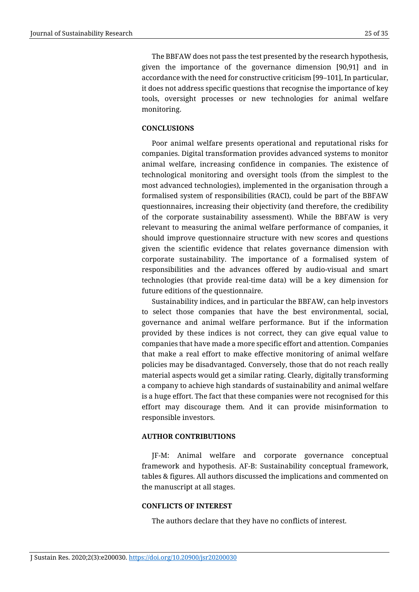The BBFAW does not pass the test presented by the research hypothesis, given the importance of the governance dimension [90,91] and in accordance with the need for constructive criticism [99–101], In particular, it does not address specific questions that recognise the importance of key tools, oversight processes or new technologies for animal welfare monitoring.

# **CONCLUSIONS**

Poor animal welfare presents operational and reputational risks for companies. Digital transformation provides advanced systems to monitor animal welfare, increasing confidence in companies. The existence of technological monitoring and oversight tools (from the simplest to the most advanced technologies), implemented in the organisation through a formalised system of responsibilities (RACI), could be part of the BBFAW questionnaires, increasing their objectivity (and therefore, the credibility of the corporate sustainability assessment). While the BBFAW is very relevant to measuring the animal welfare performance of companies, it should improve questionnaire structure with new scores and questions given the scientific evidence that relates governance dimension with corporate sustainability. The importance of a formalised system of responsibilities and the advances offered by audio-visual and smart technologies (that provide real-time data) will be a key dimension for future editions of the questionnaire.

Sustainability indices, and in particular the BBFAW, can help investors to select those companies that have the best environmental, social, governance and animal welfare performance. But if the information provided by these indices is not correct, they can give equal value to companies that have made a more specific effort and attention. Companies that make a real effort to make effective monitoring of animal welfare policies may be disadvantaged. Conversely, those that do not reach really material aspects would get a similar rating. Clearly, digitally transforming a company to achieve high standards of sustainability and animal welfare is a huge effort. The fact that these companies were not recognised for this effort may discourage them. And it can provide misinformation to responsible investors.

## **AUTHOR CONTRIBUTIONS**

JF-M: Animal welfare and corporate governance conceptual framework and hypothesis. AF-B: Sustainability conceptual framework, tables & figures. All authors discussed the implications and commented on the manuscript at all stages.

## **CONFLICTS OF INTEREST**

The authors declare that they have no conflicts of interest.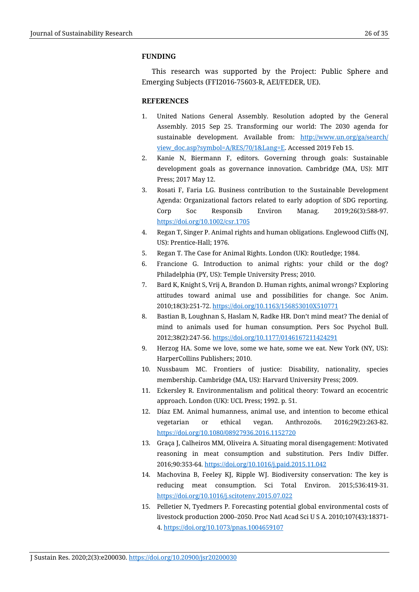# **FUNDING**

This research was supported by the Project: Public Sphere and Emerging Subjects (FFI2016-75603-R, AEI/FEDER, UE).

# **REFERENCES**

- 1. United Nations General Assembly. Resolution adopted by the General Assembly. 2015 Sep 25. Transforming our world: The 2030 agenda for sustainable development. Available from: [http://www.un.org/ga/search/](http://www.un.org/ga/search/view_doc.asp?symbol=A/RES/70/1&Lang=E) [view\\_doc.asp?symbol=A/RES/70/1&Lang=E.](http://www.un.org/ga/search/view_doc.asp?symbol=A/RES/70/1&Lang=E) Accessed 2019 Feb 15.
- 2. Kanie N, Biermann F, editors. Governing through goals: Sustainable development goals as governance innovation. Cambridge (MA, US): MIT Press; 2017 May 12.
- 3. Rosati F, Faria LG. Business contribution to the Sustainable Development Agenda: Organizational factors related to early adoption of SDG reporting. Corp Soc Responsib Environ Manag. 2019;26(3):588-97. <https://doi.org/10.1002/csr.1705>
- 4. Regan T, Singer P. Animal rights and human obligations. Englewood Cliffs (NJ, US): Prentice-Hall; 1976.
- 5. Regan T. The Case for Animal Rights. London (UK): Routledge; 1984.
- 6. Francione G. Introduction to animal rights: your child or the dog? Philadelphia (PY, US): Temple University Press; 2010.
- 7. Bard K, Knight S, Vrij A, Brandon D. Human rights, animal wrongs? Exploring attitudes toward animal use and possibilities for change. Soc Anim. 2010;18(3):251-72.<https://doi.org/10.1163/156853010X510771>
- 8. Bastian B, Loughnan S, Haslam N, Radke HR. Don't mind meat? The denial of mind to animals used for human consumption. Pers Soc Psychol Bull. 2012;38(2):247-56.<https://doi.org/10.1177/0146167211424291>
- 9. Herzog HA. Some we love, some we hate, some we eat. New York (NY, US): HarperCollins Publishers; 2010.
- 10. Nussbaum MC. Frontiers of justice: Disability, nationality, species membership. Cambridge (MA, US): Harvard University Press; 2009.
- 11. Eckersley R. Environmentalism and political theory: Toward an ecocentric approach. London (UK): UCL Press; 1992. p. 51.
- 12. Díaz EM. Animal humanness, animal use, and intention to become ethical vegetarian or ethical vegan. Anthrozoös. 2016;29(2):263-82. <https://doi.org/10.1080/08927936.2016.1152720>
- 13. Graça J, Calheiros MM, Oliveira A. Situating moral disengagement: Motivated reasoning in meat consumption and substitution. Pers Indiv Differ. 2016;90:353-64.<https://doi.org/10.1016/j.paid.2015.11.042>
- 14. Machovina B, Feeley KJ, Ripple WJ. Biodiversity conservation: The key is reducing meat consumption. Sci Total Environ. 2015;536:419-31. <https://doi.org/10.1016/j.scitotenv.2015.07.022>
- 15. Pelletier N, Tyedmers P. Forecasting potential global environmental costs of livestock production 2000–2050. Proc Natl Acad Sci U S A. 2010;107(43):18371- 4.<https://doi.org/10.1073/pnas.1004659107>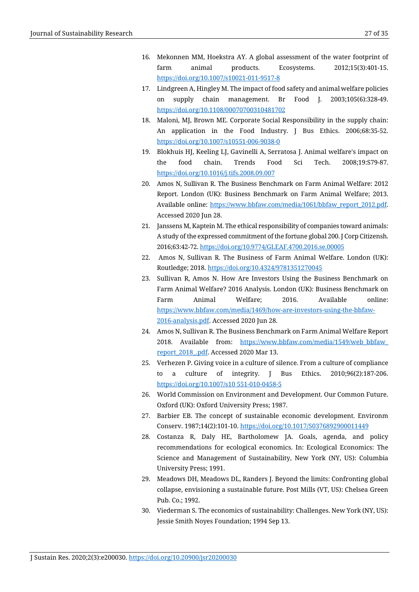- 16. Mekonnen MM, Hoekstra AY. A global assessment of the water footprint of farm animal products. Ecosystems. 2012;15(3):401-15. <https://doi.org/10.1007/s10021-011-9517-8>
- 17. Lindgreen A, Hingley M. The impact of food safety and animal welfare policies on supply chain management. Br Food J. 2003;105(6):328-49. <https://doi.org/10.1108/00070700310481702>
- 18. Maloni, MJ, Brown ME. Corporate Social Responsibility in the supply chain: An application in the Food Industry. J Bus Ethics. 2006;68:35-52. <https://doi.org/10.1007/s10551-006-9038-0>
- 19. Blokhuis HJ, Keeling LJ, Gavinelli A, Serratosa J. Animal welfare's impact on the food chain. Trends Food Sci Tech. 2008;19:S79-87. <https://doi.org/10.1016/j.tifs.2008.09.007>
- 20. Amos N, Sullivan R. The Business Benchmark on Farm Animal Welfare: 2012 Report. London (UK): Business Benchmark on Farm Animal Welfare; 2013. Available online: [https://www.bbfaw.com/media/1061/bbfaw\\_report\\_2012.pdf.](http://www.bbfaw.com/media/1061/bbfaw_report_2012.pdf) Accessed 2020 Jun 28.
- 21. Janssens M, Kaptein M. The ethical responsibility of companies toward animals: A study of the expressed commitment of the fortune global 200. J Corp Citizensh. 2016;63:42-72[. https://doi.org/10.9774/GLEAF.4700.2016.se.00005](https://doi.org/10.9774/GLEAF.4700.2016.se.00005)
- 22. Amos N, Sullivan R. The Business of Farm Animal Welfare. London (UK): Routledge; 2018[. https://doi.org/10.4324/9781351270045](https://doi.org/10.4324/9781351270045)
- 23. Sullivan R, Amos N. How Are Investors Using the Business Benchmark on Farm Animal Welfare? 2016 Analysis. London (UK): Business Benchmark on Farm Animal Welfare; 2016. Available online: [https://www.bbfaw.com/media/1469/how-are-investors-using-the-bbfaw-](https://www.bbfaw.com/media/1469/how-are-investors-using-the-bbfaw-2016-analysis.pdf)[2016-analysis.pdf.](https://www.bbfaw.com/media/1469/how-are-investors-using-the-bbfaw-2016-analysis.pdf) Accessed 2020 Jun 28.
- 24. Amos N, Sullivan R. The Business Benchmark on Farm Animal Welfare Report 2018. Available from: [https://www.bbfaw.com/media/1549/web\\_bbfaw\\_](https://www.bbfaw.com/media/1549/web_bbfaw_report_2018_.pdf) [report\\_2018\\_.pdf.](https://www.bbfaw.com/media/1549/web_bbfaw_report_2018_.pdf) Accessed 2020 Mar 13.
- 25. Verhezen P. Giving voice in a culture of silence. From a culture of compliance to a culture of integrity. J Bus Ethics. 2010;96(2):187-206. [https://doi.org/10.1007/s10 551-010-0458-5](https://doi.org/10.1007/s10%20551-010-0458-5)
- 26. World Commission on Environment and Development. Our Common Future. Oxford (UK): Oxford University Press; 1987.
- 27. Barbier EB. The concept of sustainable economic development. Environm Conserv. 1987;14(2):101-10.<https://doi.org/10.1017/S0376892900011449>
- 28. Costanza R, Daly HE, Bartholomew JA. Goals, agenda, and policy recommendations for ecological economics. In: Ecological Economics: The Science and Management of Sustainability, New York (NY, US): Columbia University Press; 1991.
- 29. Meadows DH, Meadows DL, Randers J. Beyond the limits: Confronting global collapse, envisioning a sustainable future. Post Mills (VT, US): Chelsea Green Pub. Co.; 1992.
- 30. Viederman S. The economics of sustainability: Challenges. New York (NY, US): Jessie Smith Noyes Foundation; 1994 Sep 13.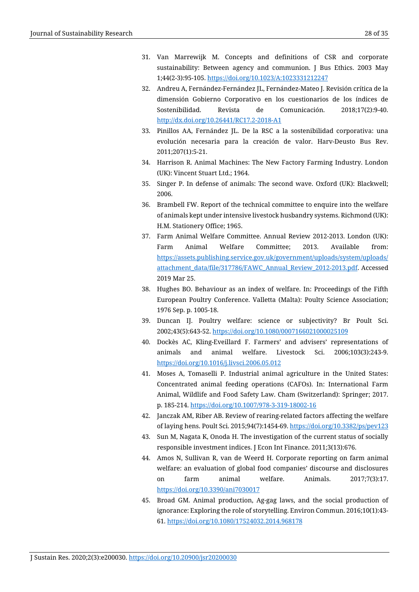- 31. Van Marrewijk M. Concepts and definitions of CSR and corporate sustainability: Between agency and communion. J Bus Ethics. 2003 May 1;44(2-3):95-105.<https://doi.org/10.1023/A:1023331212247>
- 32. Andreu A, Fernández-Fernández JL, Fernández-Mateo J. Revisión crítica de la dimensión Gobierno Corporativo en los cuestionarios de los índices de Sostenibilidad. Revista de Comunicación. 2018;17(2):9-40. <http://dx.doi.org/10.26441/RC17.2-2018-A1>
- 33. Pinillos AA, Fernández JL. De la RSC a la sostenibilidad corporativa: una evolución necesaria para la creación de valor. Harv-Deusto Bus Rev. 2011;207(1):5-21.
- 34. Harrison R. Animal Machines: The New Factory Farming Industry. London (UK): Vincent Stuart Ltd.; 1964.
- 35. Singer P. In defense of animals: The second wave. Oxford (UK): Blackwell; 2006.
- 36. Brambell FW. Report of the technical committee to enquire into the welfare of animals kept under intensive livestock husbandry systems. Richmond (UK): H.M. Stationery Office; 1965.
- 37. Farm Animal Welfare Committee. Annual Review 2012-2013. London (UK): Farm Animal Welfare Committee; 2013. Available from: [https://assets.publishing.service.gov.uk/government/uploads/system/uploads/](https://assets.publishing.service.gov.uk/government/uploads/system/uploads/attachment_data/file/317786/FAWC_Annual_Review_2012-2013.pdf) [attachment\\_data/file/317786/FAWC\\_Annual\\_Review\\_2012-2013.pdf.](https://assets.publishing.service.gov.uk/government/uploads/system/uploads/attachment_data/file/317786/FAWC_Annual_Review_2012-2013.pdf) Accessed 2019 Mar 25.
- 38. Hughes BO. Behaviour as an index of welfare. In: Proceedings of the Fifth European Poultry Conference. Valletta (Malta): Poulty Science Association; 1976 Sep. p. 1005-18.
- 39. Duncan IJ. Poultry welfare: science or subjectivity? Br Poult Sci. 2002;43(5):643-52.<https://doi.org/10.1080/0007166021000025109>
- 40. Dockès AC, Kling-Eveillard F. Farmers' and advisers' representations of animals and animal welfare. Livestock Sci. 2006;103(3):243-9. <https://doi.org/10.1016/j.livsci.2006.05.012>
- 41. Moses A, Tomaselli P. Industrial animal agriculture in the United States: Concentrated animal feeding operations (CAFOs). In: International Farm Animal, Wildlife and Food Safety Law. Cham (Switzerland): Springer; 2017. p. 185-214.<https://doi.org/10.1007/978-3-319-18002-16>
- 42. Janczak AM, Riber AB. Review of rearing-related factors affecting the welfare of laying hens. Poult Sci. 2015;94(7):1454-69[. https://doi.org/10.3382/ps/pev123](https://doi.org/10.3382/ps/pev123)
- 43. Sun M, Nagata K, Onoda H. The investigation of the current status of socially responsible investment indices. J Econ Int Finance. 2011;3(13):676.
- 44. Amos N, Sullivan R, van de Weerd H. Corporate reporting on farm animal welfare: an evaluation of global food companies' discourse and disclosures on farm animal welfare. Animals. 2017;7(3):17. <https://doi.org/10.3390/ani7030017>
- 45. Broad GM. Animal production, Ag-gag laws, and the social production of ignorance: Exploring the role of storytelling. Environ Commun. 2016;10(1):43- 61.<https://doi.org/10.1080/17524032.2014.968178>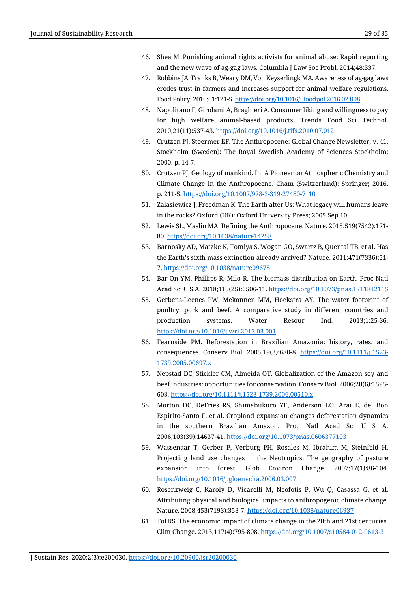- 46. Shea M. Punishing animal rights activists for animal abuse: Rapid reporting and the new wave of ag-gag laws. Columbia J Law Soc Probl. 2014;48:337.
- 47. Robbins JA, Franks B, Weary DM, Von Keyserlingk MA. Awareness of ag-gag laws erodes trust in farmers and increases support for animal welfare regulations. Food Policy. 2016;61:121-5[. https://doi.org/10.1016/j.foodpol.2016.02.008](https://doi.org/10.1016/j.foodpol.2016.02.008)
- 48. Napolitano F, Girolami A, Braghieri A. Consumer liking and willingness to pay for high welfare animal-based products. Trends Food Sci Technol. 2010;21(11):537-43[. https://doi.org/10.1016/j.tifs.2010.07.012](https://doi.org/10.1016/j.tifs.2010.07.012)
- 49. Crutzen PJ, Stoermer EF. The Anthropocene: Global Change Newsletter, v. 41. Stockholm (Sweden): The Royal Swedish Academy of Sciences Stockholm; 2000. p. 14-7.
- 50. Crutzen PJ. Geology of mankind. In: A Pioneer on Atmospheric Chemistry and Climate Change in the Anthropocene. Cham (Switzerland): Springer; 2016. p. 211-5. [https://doi.org/10.1007/978-3-319-27460-7\\_10](https://doi.org/10.1007/978-3-319-27460-7_10)
- 51. Zalasiewicz J, Freedman K. The Earth after Us: What legacy will humans leave in the rocks? Oxford (UK): Oxford University Press; 2009 Sep 10.
- 52. Lewis SL, Maslin MA. Defining the Anthropocene. Nature. 2015;519(7542):171- 80. https//doi.org/10.1038/nature14258
- 53. Barnosky AD, Matzke N, Tomiya S, Wogan GO, Swartz B, Quental TB, et al. Has the Earth's sixth mass extinction already arrived? Nature. 2011;471(7336):51- 7.<https://doi.org/10.1038/nature09678>
- 54. Bar-On YM, Phillips R, Milo R. The biomass distribution on Earth. Proc Natl Acad Sci U S A. 2018;115(25):6506-11.<https://doi.org/10.1073/pnas.1711842115>
- 55. Gerbens-Leenes PW, Mekonnen MM, Hoekstra AY. The water footprint of poultry, pork and beef: A comparative study in different countries and production systems. Water Resour Ind. 2013;1:25-36. <https://doi.org/10.1016/j.wri.2013.03.001>
- 56. Fearnside PM. Deforestation in Brazilian Amazonia: history, rates, and consequences. Conserv Biol. 2005;19(3):680-8. [https://doi.org/10.1111/j.1523-](https://doi.org/10.1111/j.1523-1739.2005.00697.x) [1739.2005.00697.x](https://doi.org/10.1111/j.1523-1739.2005.00697.x)
- 57. Nepstad DC, Stickler CM, Almeida OT. Globalization of the Amazon soy and beef industries: opportunities for conservation. Conserv Biol. 2006;20(6):1595- 603.<https://doi.org/10.1111/j.1523-1739.2006.00510.x>
- 58. Morton DC, DeFries RS, Shimabukuro YE, Anderson LO, Arai E, del Bon Espirito-Santo F, et al. Cropland expansion changes deforestation dynamics in the southern Brazilian Amazon. Proc Natl Acad Sci U S A. 2006;103(39):14637-41[. https://doi.org/10.1073/pnas.0606377103](https://doi.org/10.1073/pnas.0606377103)
- 59. Wassenaar T, Gerber P, Verburg PH, Rosales M, Ibrahim M, Steinfeld H. Projecting land use changes in the Neotropics: The geography of pasture expansion into forest. Glob Environ Change. 2007;17(1):86-104. <https://doi.org/10.1016/j.gloenvcha.2006.03.007>
- 60. Rosenzweig C, Karoly D, Vicarelli M, Neofotis P, Wu Q, Casassa G, et al. Attributing physical and biological impacts to anthropogenic climate change. Nature. 2008;453(7193):353-7.<https://doi.org/10.1038/nature06937>
- 61. Tol RS. The economic impact of climate change in the 20th and 21st centuries. Clim Change. 2013;117(4):795-808. <https://doi.org/10.1007/s10584-012-0613-3>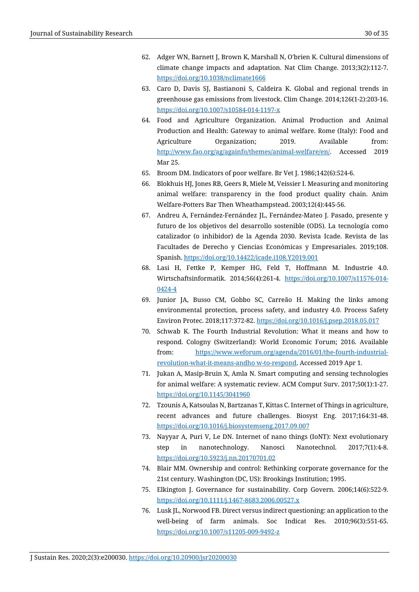- 62. Adger WN, Barnett J, Brown K, Marshall N, O'brien K. Cultural dimensions of climate change impacts and adaptation. Nat Clim Change. 2013;3(2):112-7. <https://doi.org/10.1038/nclimate1666>
- 63. Caro D, Davis SJ, Bastianoni S, Caldeira K. Global and regional trends in greenhouse gas emissions from livestock. Clim Change. 2014;126(1-2):203-16. <https://doi.org/10.1007/s10584-014-1197-x>
- 64. Food and Agriculture Organization. Animal Production and Animal Production and Health: Gateway to animal welfare. Rome (Italy): Food and Agriculture Organization; 2019. Available from: [http://www.fao.org/ag/againfo/themes/animal-welfare/en/.](http://www.fao.org/ag/againfo/themes/animal-welfare/en/) Accessed 2019 Mar 25.
- 65. Broom DM. Indicators of poor welfare. Br Vet J. 1986;142(6):524-6.
- 66. Blokhuis HJ, Jones RB, Geers R, Miele M, Veissier I. Measuring and monitoring animal welfare: transparency in the food product quality chain. Anim Welfare-Potters Bar Then Wheathampstead. 2003;12(4):445-56.
- 67. Andreu A, Fernández-Fernández JL, Fernández-Mateo J. Pasado, presente y futuro de los objetivos del desarrollo sostenible (ODS). La tecnología como catalizador (o inhibidor) de la Agenda 2030. Revista Icade. Revista de las Facultades de Derecho y Ciencias Económicas y Empresariales. 2019;108. Spanish. <https://doi.org/10.14422/icade.i108.Y2019.001>
- 68. Lasi H, Fettke P, Kemper HG, Feld T, Hoffmann M. Industrie 4.0. Wirtschaftsinformatik. 2014;56(4):261-4. [https://doi.org/10.1007/s11576-014-](https://doi.org/10.1007/s11576-014-0424-4) [0424-4](https://doi.org/10.1007/s11576-014-0424-4)
- 69. Junior JA, Busso CM, Gobbo SC, Carreão H. Making the links among environmental protection, process safety, and industry 4.0. Process Safety Environ Protec. 2018;117:372-82.<https://doi.org/10.1016/j.psep.2018.05.017>
- 70. Schwab K. The Fourth Industrial Revolution: What it means and how to respond. Cologny (Switzerland): World Economic Forum; 2016. Available from: https://www.weforum.org/agenda/2016/01/the-fourth-industrialrevolution-what-it-means-andho w-to-respond. Accessed 2019 Apr 1.
- 71. Jukan A, Masip-Bruin X, Amla N. Smart computing and sensing technologies for animal welfare: A systematic review. ACM Comput Surv. 2017;50(1):1-27. <https://doi.org/10.1145/3041960>
- 72. Tzounis A, Katsoulas N, Bartzanas T, Kittas C. Internet of Things in agriculture, recent advances and future challenges. Biosyst Eng. 2017;164:31-48. <https://doi.org/10.1016/j.biosystemseng.2017.09.007>
- 73. Nayyar A, Puri V, Le DN. Internet of nano things (IoNT): Next evolutionary step in nanotechnology. Nanosci Nanotechnol. 2017;7(1):4-8. <https://doi.org/10.5923/j.nn.20170701.02>
- 74. Blair MM. Ownership and control: Rethinking corporate governance for the 21st century. Washington (DC, US): Brookings Institution; 1995.
- 75. Elkington J. Governance for sustainability. Corp Govern. 2006;14(6):522-9. <https://doi.org/10.1111/j.1467-8683.2006.00527.x>
- 76. Lusk JL, Norwood FB. Direct versus indirect questioning: an application to the well-being of farm animals. Soc Indicat Res. 2010;96(3):551-65. <https://doi.org/10.1007/s11205-009-9492-z>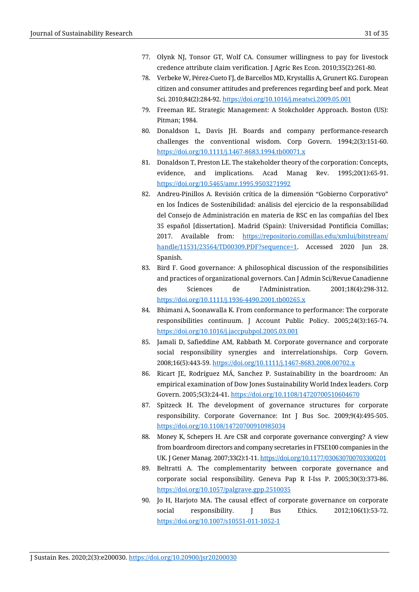- 77. Olynk NJ, Tonsor GT, Wolf CA. Consumer willingness to pay for livestock credence attribute claim verification. J Agric Res Econ. 2010;35(2):261-80.
- 78. Verbeke W, Pérez-Cueto FJ, de Barcellos MD, Krystallis A, Grunert KG. European citizen and consumer attitudes and preferences regarding beef and pork. Meat Sci. 2010;84(2):284-92[. https://doi.org/10.1016/j.meatsci.2009.05.001](https://doi.org/10.1016/j.meatsci.2009.05.001)
- 79. Freeman RE. Strategic Management: A Stokcholder Approach. Boston (US): Pitman; 1984.
- 80. Donaldson L, Davis JH. Boards and company performance‐research challenges the conventional wisdom. Corp Govern. 1994;2(3):151-60. <https://doi.org/10.1111/j.1467-8683.1994.tb00071.x>
- 81. Donaldson T, Preston LE. The stakeholder theory of the corporation: Concepts, evidence, and implications. Acad Manag Rev. 1995;20(1):65-91. <https://doi.org/10.5465/amr.1995.9503271992>
- 82. Andreu-Pinillos A. Revisión crítica de la dimensión "Gobierno Corporativo" en los Índices de Sostenibilidad: análisis del ejercicio de la responsabilidad del Consejo de Administración en materia de RSC en las compañías del Ibex 35 español [dissertation]. Madrid (Spain): Universidad Pontificia Comillas; 2017. Available from: [https://repositorio.comillas.edu/xmlui/bitstream/](https://repositorio.comillas.edu/xmlui/bitstream/handle/11531/23564/TD00309.PDF?sequence=1) [handle/11531/23564/TD00309.PDF?sequence=1.](https://repositorio.comillas.edu/xmlui/bitstream/handle/11531/23564/TD00309.PDF?sequence=1) Accessed 2020 Jun 28. Spanish.
- 83. Bird F. Good governance: A philosophical discussion of the responsibilities and practices of organizational governors. Can J Admin Sci/Revue Canadienne des Sciences de l'Administration. 2001;18(4):298-312. <https://doi.org/10.1111/j.1936-4490.2001.tb00265.x>
- 84. Bhimani A, Soonawalla K. From conformance to performance: The corporate responsibilities continuum. J Account Public Policy. 2005;24(3):165-74. <https://doi.org/10.1016/j.jaccpubpol.2005.03.001>
- 85. Jamali D, Safieddine AM, Rabbath M. Corporate governance and corporate social responsibility synergies and interrelationships. Corp Govern. 2008;16(5):443-59.<https://doi.org/10.1111/j.1467-8683.2008.00702.x>
- 86. Ricart JE, Rodríguez MÁ, Sanchez P. Sustainability in the boardroom: An empirical examination of Dow Jones Sustainability World Index leaders. Corp Govern. 2005;5(3):24-41[. https://doi.org/10.1108/14720700510604670](https://doi.org/10.1108/14720700510604670)
- 87. Spitzeck H. The development of governance structures for corporate responsibility. Corporate Governance: Int J Bus Soc. 2009;9(4):495-505. <https://doi.org/10.1108/14720700910985034>
- 88. Money K, Schepers H. Are CSR and corporate governance converging? A view from boardroom directors and company secretaries in FTSE100 companies in the UK. J Gener Manag. 2007;33(2):1-11[. https://doi.org/10.1177/030630700703300201](https://doi.org/10.1177/030630700703300201)
- 89. Beltratti A. The complementarity between corporate governance and corporate social responsibility. Geneva Pap R I-Iss P. 2005;30(3):373-86. <https://doi.org/10.1057/palgrave.gpp.2510035>
- 90. Jo H, Harjoto MA. The causal effect of corporate governance on corporate social responsibility. J Bus Ethics. 2012;106(1):53-72. <https://doi.org/10.1007/s10551-011-1052-1>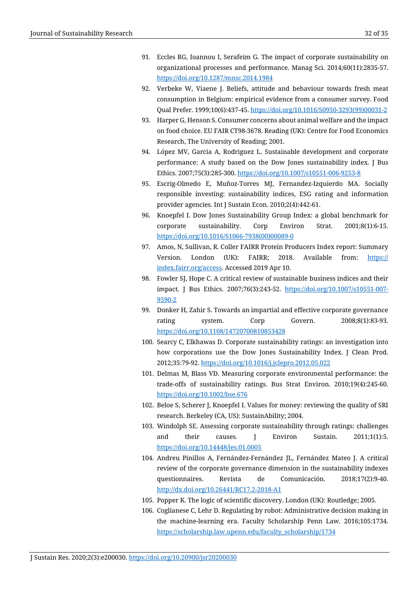- 91. Eccles RG, Ioannou I, Serafeim G. The impact of corporate sustainability on organizational processes and performance. Manag Sci. 2014;60(11):2835-57. <https://doi.org/10.1287/mnsc.2014.1984>
- 92. Verbeke W, Viaene J. Beliefs, attitude and behaviour towards fresh meat consumption in Belgium: empirical evidence from a consumer survey. Food Qual Prefer. 1999;10(6):437-45[. https://doi.org/10.1016/S0950-3293\(99\)00031-2](https://doi.org/10.1016/S0950-3293(99)00031-2)
- 93. Harper G, Henson S. Consumer concerns about animal welfare and the impact on food choice. EU FAIR CT98-3678. Reading (UK): Centre for Food Economics Research, The University of Reading; 2001.
- 94. López MV, Garcia A, Rodriguez L. Sustainable development and corporate performance: A study based on the Dow Jones sustainability index. J Bus Ethics. 2007;75(3):285-300.<https://doi.org/10.1007/s10551-006-9253-8>
- 95. Escrig-Olmedo E, Muñoz-Torres MJ, Fernandez-Izquierdo MA. Socially responsible investing: sustainability indices, ESG rating and information provider agencies. Int J Sustain Econ. 2010;2(4):442-61.
- 96. Knoepfel I. Dow Jones Sustainability Group Index: a global benchmark for corporate sustainability. Corp Environ Strat. 2001;8(1):6-15. [https://doi.org/10.1016/S1066-7938\(00\)00089-0](https://doi.org/10.1016/S1066-7938(00)00089-0)
- 97. Amos, N, Sullivan, R. Coller FAIRR Protein Producers Index report: Summary Version. London (UK): FAIRR; 2018. Available from: https:// index.fairr.org/access. Accessed 2019 Apr 10.
- 98. Fowler SJ, Hope C. A critical review of sustainable business indices and their impact. J Bus Ethics. 2007;76(3):243-52. [https://doi.org/10.1007/s10551-007-](https://doi.org/10.1007/s10551-007-9590-2) [9590-2](https://doi.org/10.1007/s10551-007-9590-2)
- 99. Donker H, Zahir S. Towards an impartial and effective corporate governance rating system. Corp Govern. 2008;8(1):83-93. <https://doi.org/10.1108/14720700810853428>
- 100. Searcy C, Elkhawas D. Corporate sustainability ratings: an investigation into how corporations use the Dow Jones Sustainability Index. J Clean Prod. 2012;35:79-92.<https://doi.org/10.1016/j.jclepro.2012.05.022>
- 101. Delmas M, Blass VD. Measuring corporate environmental performance: the trade‐offs of sustainability ratings. Bus Strat Environ. 2010;19(4):245-60. <https://doi.org/10.1002/bse.676>
- 102. Beloe S, Scherer J, Knoepfel I. Values for money: reviewing the quality of SRI research. Berkeley (CA, US): SustainAbility; 2004.
- 103. Windolph SE. Assessing corporate sustainability through ratings: challenges and their causes. J Environ Sustain. 2011;1(1):5. <https://doi.org/10.14448/jes.01.0005>
- 104. Andreu Pinillos A, Fernández-Fernández JL, Fernández Mateo J. A critical review of the corporate governance dimension in the sustainability indexes questionnaires. Revista de Comunicación. 2018;17(2):9-40. <http://dx.doi.org/10.26441/RC17.2-2018-A1>
- 105. Popper K. The logic of scientific discovery. London (UK): Routledge; 2005.
- 106. Coglianese C, Lehr D. Regulating by robot: Administrative decision making in the machine-learning era. Faculty Scholarship Penn Law. 2016;105:1734. [https://scholarship.law.upenn.edu/faculty\\_scholarship/1734](https://scholarship.law.upenn.edu/faculty_scholarship/1734)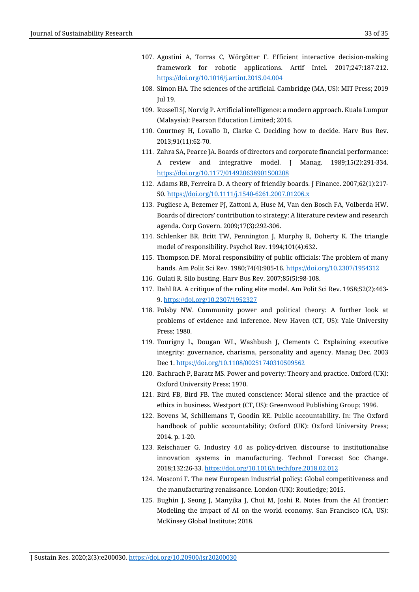- 107. Agostini A, Torras C, Wörgötter F. Efficient interactive decision-making framework for robotic applications. Artif Intel. 2017;247:187-212. <https://doi.org/10.1016/j.artint.2015.04.004>
- 108. Simon HA. The sciences of the artificial. Cambridge (MA, US): MIT Press; 2019 Jul 19.
- 109. Russell SJ, Norvig P. Artificial intelligence: a modern approach. Kuala Lumpur (Malaysia): Pearson Education Limited; 2016.
- 110. Courtney H, Lovallo D, Clarke C. Deciding how to decide. Harv Bus Rev. 2013;91(11):62-70.
- 111. Zahra SA, Pearce JA. Boards of directors and corporate financial performance: A review and integrative model. J Manag. 1989;15(2):291-334. <https://doi.org/10.1177/014920638901500208>
- 112. Adams RB, Ferreira D. A theory of friendly boards. J Finance. 2007;62(1):217- 50.<https://doi.org/10.1111/j.1540-6261.2007.01206.x>
- 113. Pugliese A, Bezemer PJ, Zattoni A, Huse M, Van den Bosch FA, Volberda HW. Boards of directors' contribution to strategy: A literature review and research agenda. Corp Govern. 2009;17(3):292-306.
- 114. Schlenker BR, Britt TW, Pennington J, Murphy R, Doherty K. The triangle model of responsibility. Psychol Rev. 1994;101(4):632.
- 115. Thompson DF. Moral responsibility of public officials: The problem of many hands. Am Polit Sci Rev. 1980;74(4):905-16.<https://doi.org/10.2307/1954312>
- 116. Gulati R. Silo busting. Harv Bus Rev. 2007;85(5):98-108.
- 117. Dahl RA. A critique of the ruling elite model. Am Polit Sci Rev. 1958;52(2):463- 9.<https://doi.org/10.2307/1952327>
- 118. Polsby NW. Community power and political theory: A further look at problems of evidence and inference. New Haven (CT, US): Yale University Press; 1980.
- 119. Tourigny L, Dougan WL, Washbush J, Clements C. Explaining executive integrity: governance, charisma, personality and agency. Manag Dec. 2003 Dec 1.<https://doi.org/10.1108/00251740310509562>
- 120. Bachrach P, Baratz MS. Power and poverty: Theory and practice. Oxford (UK): Oxford University Press; 1970.
- 121. Bird FB, Bird FB. The muted conscience: Moral silence and the practice of ethics in business. Westport (CT, US): Greenwood Publishing Group; 1996.
- 122. Bovens M, Schillemans T, Goodin RE. Public accountability. In: The Oxford handbook of public accountability; Oxford (UK): Oxford University Press; 2014. p. 1-20.
- 123. Reischauer G. Industry 4.0 as policy-driven discourse to institutionalise innovation systems in manufacturing. Technol Forecast Soc Change. 2018;132:26-33.<https://doi.org/10.1016/j.techfore.2018.02.012>
- 124. Mosconi F. The new European industrial policy: Global competitiveness and the manufacturing renaissance. London (UK): Routledge; 2015.
- 125. Bughin J, Seong J, Manyika J, Chui M, Joshi R. Notes from the AI frontier: Modeling the impact of AI on the world economy. San Francisco (CA, US): McKinsey Global Institute; 2018.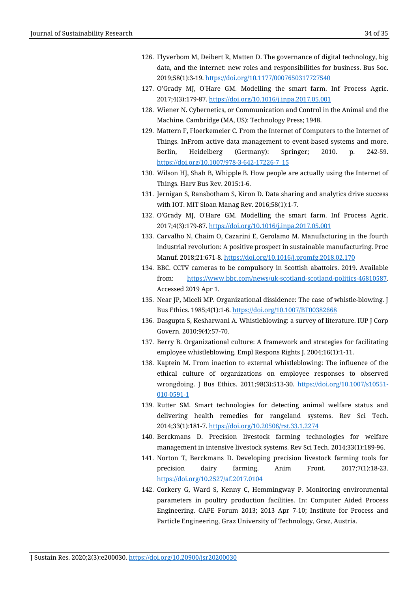- 126. Flyverbom M, Deibert R, Matten D. The governance of digital technology, big data, and the internet: new roles and responsibilities for business. Bus Soc. 2019;58(1):3-19.<https://doi.org/10.1177/0007650317727540>
- 127. O'Grady MJ, O'Hare GM. Modelling the smart farm. Inf Process Agric. 2017;4(3):179-87.<https://doi.org/10.1016/j.inpa.2017.05.001>
- 128. Wiener N. Cybernetics, or Communication and Control in the Animal and the Machine. Cambridge (MA, US): Technology Press; 1948.
- 129. Mattern F, Floerkemeier C. From the Internet of Computers to the Internet of Things. InFrom active data management to event-based systems and more. Berlin, Heidelberg (Germany): Springer; 2010. p. 242-59. [https://doi.org/10.1007/978-3-642-17226-7\\_15](https://doi.org/10.1007/978-3-642-17226-7_15)
- 130. Wilson HJ, Shah B, Whipple B. How people are actually using the Internet of Things. Harv Bus Rev. 2015:1-6.
- 131. Jernigan S, Ransbotham S, Kiron D. Data sharing and analytics drive success with IOT. MIT Sloan Manag Rev. 2016;58(1):1-7.
- 132. O'Grady MJ, O'Hare GM. Modelling the smart farm. Inf Process Agric. 2017;4(3):179-87.<https://doi.org/10.1016/j.inpa.2017.05.001>
- 133. Carvalho N, Chaim O, Cazarini E, Gerolamo M. Manufacturing in the fourth industrial revolution: A positive prospect in sustainable manufacturing. Proc Manuf. 2018;21:671-8.<https://doi.org/10.1016/j.promfg.2018.02.170>
- 134. BBC. CCTV cameras to be compulsory in Scottish abattoirs. 2019. Available from: [https://www.bbc.com/news/uk-scotland-scotland-politics-46810587.](https://www.bbc.com/news/uk-scotland-scotland-politics-46810587) Accessed 2019 Apr 1.
- 135. Near JP, Miceli MP. Organizational dissidence: The case of whistle-blowing. J Bus Ethics. 1985;4(1):1-6[. https://doi.org/10.1007/BF00382668](https://doi.org/10.1007/BF00382668)
- 136. Dasgupta S, Kesharwani A. Whistleblowing: a survey of literature. IUP J Corp Govern. 2010;9(4):57-70.
- 137. Berry B. Organizational culture: A framework and strategies for facilitating employee whistleblowing. Empl Respons Rights J. 2004;16(1):1-11.
- 138. Kaptein M. From inaction to external whistleblowing: The influence of the ethical culture of organizations on employee responses to observed wrongdoing. J Bus Ethics. 2011;98(3):513-30. [https://doi.org/10.1007/s10551-](https://doi.org/10.1007/s10551-010-0591-1) [010-0591-1](https://doi.org/10.1007/s10551-010-0591-1)
- 139. Rutter SM. Smart technologies for detecting animal welfare status and delivering health remedies for rangeland systems. Rev Sci Tech. 2014;33(1):181-7.<https://doi.org/10.20506/rst.33.1.2274>
- 140. Berckmans D. Precision livestock farming technologies for welfare management in intensive livestock systems. Rev Sci Tech. 2014;33(1):189-96.
- 141. Norton T, Berckmans D. Developing precision livestock farming tools for precision dairy farming. Anim Front. 2017;7(1):18-23. <https://doi.org/10.2527/af.2017.0104>
- 142. Corkery G, Ward S, Kenny C, Hemmingway P. Monitoring environmental parameters in poultry production facilities. In: Computer Aided Process Engineering. CAPE Forum 2013; 2013 Apr 7-10; Institute for Process and Particle Engineering, Graz University of Technology, Graz, Austria.